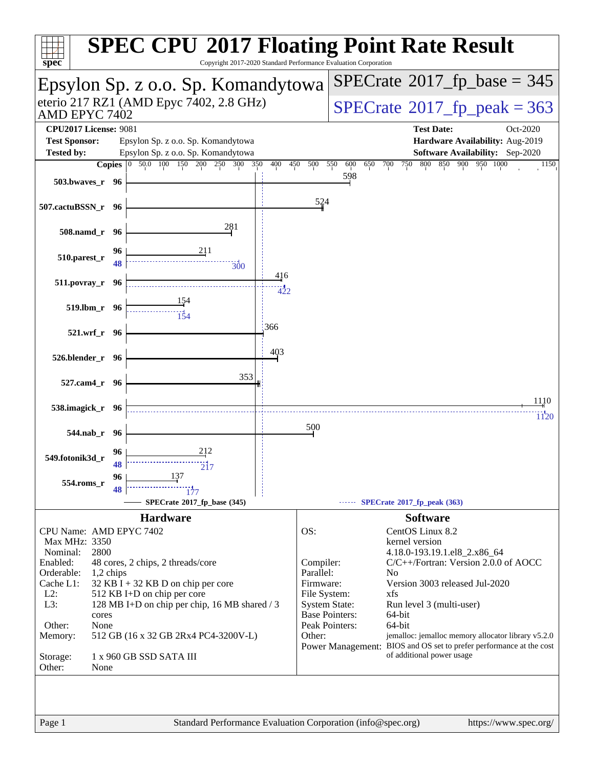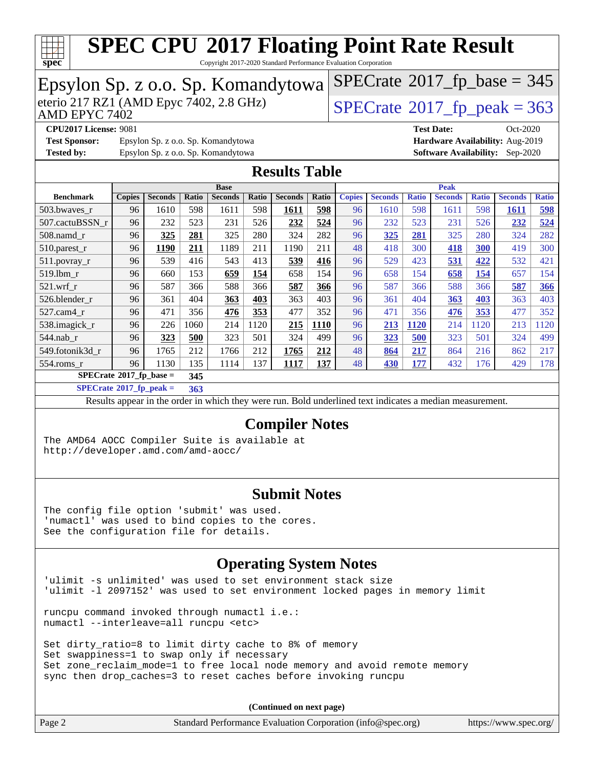

Copyright 2017-2020 Standard Performance Evaluation Corporation

| Epsylon Sp. z o.o. Sp. Komandytowa                                                                                                      |               |                |            |                                                                                                          |            |                       |            | $SPECTate$ <sup>®</sup> 2017_fp_base = 345 |                                |              |                                        |              |                |              |  |
|-----------------------------------------------------------------------------------------------------------------------------------------|---------------|----------------|------------|----------------------------------------------------------------------------------------------------------|------------|-----------------------|------------|--------------------------------------------|--------------------------------|--------------|----------------------------------------|--------------|----------------|--------------|--|
| eterio 217 RZ1 (AMD Epyc 7402, 2.8 GHz)<br>AMD EPYC 7402                                                                                |               |                |            |                                                                                                          |            |                       |            |                                            | $SPECrate@2017_fp\_peak = 363$ |              |                                        |              |                |              |  |
| <b>CPU2017 License: 9081</b>                                                                                                            |               |                |            |                                                                                                          |            |                       |            |                                            | <b>Test Date:</b>              |              | Oct-2020                               |              |                |              |  |
| <b>Test Sponsor:</b>                                                                                                                    |               |                |            | Epsylon Sp. z o.o. Sp. Komandytowa                                                                       |            |                       |            |                                            |                                |              | Hardware Availability: Aug-2019        |              |                |              |  |
| <b>Tested by:</b>                                                                                                                       |               |                |            | Epsylon Sp. z o.o. Sp. Komandytowa                                                                       |            |                       |            |                                            |                                |              | <b>Software Availability:</b> Sep-2020 |              |                |              |  |
| <b>Results Table</b>                                                                                                                    |               |                |            |                                                                                                          |            |                       |            |                                            |                                |              |                                        |              |                |              |  |
| <b>Base</b><br><b>Peak</b>                                                                                                              |               |                |            |                                                                                                          |            |                       |            |                                            |                                |              |                                        |              |                |              |  |
| <b>Benchmark</b>                                                                                                                        | <b>Copies</b> | <b>Seconds</b> | Ratio      | <b>Seconds</b>                                                                                           | Ratio      | <b>Seconds</b>        | Ratio      | <b>Copies</b>                              | <b>Seconds</b>                 | <b>Ratio</b> | <b>Seconds</b>                         | <b>Ratio</b> | <b>Seconds</b> | <b>Ratio</b> |  |
| 503.bwaves_r                                                                                                                            | 96            | 1610           | 598        | 1611                                                                                                     | 598        | 1611                  | 598        | 96                                         | 1610                           | 598          | 1611                                   | 598          | <b>1611</b>    | 598          |  |
| 507.cactuBSSN r<br>508.namd r                                                                                                           | 96            | 232            | 523        | 231<br>325                                                                                               | 526        | 232<br>324            | 524<br>282 | 96                                         | 232                            | 523          | 231                                    | 526<br>280   | 232<br>324     | 524<br>282   |  |
| 510.parest_r                                                                                                                            | 96<br>96      | 325<br>1190    | 281<br>211 | 1189                                                                                                     | 280<br>211 | 1190                  | 211        | 96<br>48                                   | 325<br>418                     | 281<br>300   | 325<br><b>418</b>                      | 300          | 419            | 300          |  |
| 511.povray_r                                                                                                                            | 96            | 539            | 416        | 543                                                                                                      | 413        | 539                   | 416        | 96                                         | 529                            | 423          | 531                                    | 422          | 532            | 421          |  |
| 519.lbm r                                                                                                                               | 96            | 660            | 153        | 659                                                                                                      | 154        | 658                   | 154        | 96                                         | 658                            | 154          | 658                                    | 154          | 657            | 154          |  |
| 521.wrf r                                                                                                                               | 96            | 587            | 366        | 588                                                                                                      | 366        | 587                   | 366        | 96                                         | 587                            | 366          | 588                                    | 366          | 587            | 366          |  |
| 526.blender_r                                                                                                                           | 96            | 361            | 404        | 363                                                                                                      | 403        | 363                   | 403        | 96                                         | 361                            | 404          | 363                                    | 403          | 363            | 403          |  |
| 527.cam4_r                                                                                                                              | 96            | 471            | 356        | 476                                                                                                      | 353        | 477                   | 352        | 96                                         | 471                            | 356          | 476                                    | 353          | 477            | 352          |  |
| 538.imagick_r                                                                                                                           | 96            | 226            | 1060       | 214                                                                                                      | 1120       | 215                   | 1110       | 96                                         | 213                            | 1120         | 214                                    | 1120         | 213            | 1120         |  |
| 544.nab_r                                                                                                                               | 96            | 323            | 500        | 323                                                                                                      | 501        | 324                   | 499        | 96                                         | 323                            | 500          | 323                                    | 501          | 324            | 499          |  |
| 549.fotonik3d_r                                                                                                                         | 96            | 1765           | 212        | 1766                                                                                                     | 212        | 1765                  | 212        | 48                                         | 864                            | 217          | 864                                    | 216          | 862            | 217          |  |
| 554.roms_r                                                                                                                              | 96            | 1130           | 135        | 1114                                                                                                     | 137        | 1117                  | 137        | 48                                         | 430                            | <b>177</b>   | 432                                    | 176          | 429            | 178          |  |
| $SPECrate$ <sup>®</sup> 2017_fp_base =                                                                                                  |               |                | 345        |                                                                                                          |            |                       |            |                                            |                                |              |                                        |              |                |              |  |
| $SPECrate^{\circ}2017$ _fp_peak =                                                                                                       |               |                | 363        |                                                                                                          |            |                       |            |                                            |                                |              |                                        |              |                |              |  |
|                                                                                                                                         |               |                |            | Results appear in the order in which they were run. Bold underlined text indicates a median measurement. |            |                       |            |                                            |                                |              |                                        |              |                |              |  |
|                                                                                                                                         |               |                |            |                                                                                                          |            | <b>Compiler Notes</b> |            |                                            |                                |              |                                        |              |                |              |  |
| The AMD64 AOCC Compiler Suite is available at                                                                                           |               |                |            |                                                                                                          |            |                       |            |                                            |                                |              |                                        |              |                |              |  |
| http://developer.amd.com/amd-aocc/                                                                                                      |               |                |            |                                                                                                          |            |                       |            |                                            |                                |              |                                        |              |                |              |  |
|                                                                                                                                         |               |                |            |                                                                                                          |            |                       |            |                                            |                                |              |                                        |              |                |              |  |
|                                                                                                                                         |               |                |            |                                                                                                          |            |                       |            |                                            |                                |              |                                        |              |                |              |  |
|                                                                                                                                         |               |                |            |                                                                                                          |            | <b>Submit Notes</b>   |            |                                            |                                |              |                                        |              |                |              |  |
| The config file option 'submit' was used.<br>'numactl' was used to bind copies to the cores.<br>See the configuration file for details. |               |                |            |                                                                                                          |            |                       |            |                                            |                                |              |                                        |              |                |              |  |
|                                                                                                                                         |               |                |            |                                                                                                          |            |                       |            |                                            |                                |              |                                        |              |                |              |  |

### **[Operating System Notes](http://www.spec.org/auto/cpu2017/Docs/result-fields.html#OperatingSystemNotes)**

'ulimit -s unlimited' was used to set environment stack size 'ulimit -l 2097152' was used to set environment locked pages in memory limit

runcpu command invoked through numactl i.e.: numactl --interleave=all runcpu <etc>

Set dirty\_ratio=8 to limit dirty cache to 8% of memory Set swappiness=1 to swap only if necessary Set zone\_reclaim\_mode=1 to free local node memory and avoid remote memory sync then drop\_caches=3 to reset caches before invoking runcpu

**(Continued on next page)**

| Page 2 | Standard Performance Evaluation Corporation (info@spec.org) | https://www.spec.org/ |
|--------|-------------------------------------------------------------|-----------------------|
|--------|-------------------------------------------------------------|-----------------------|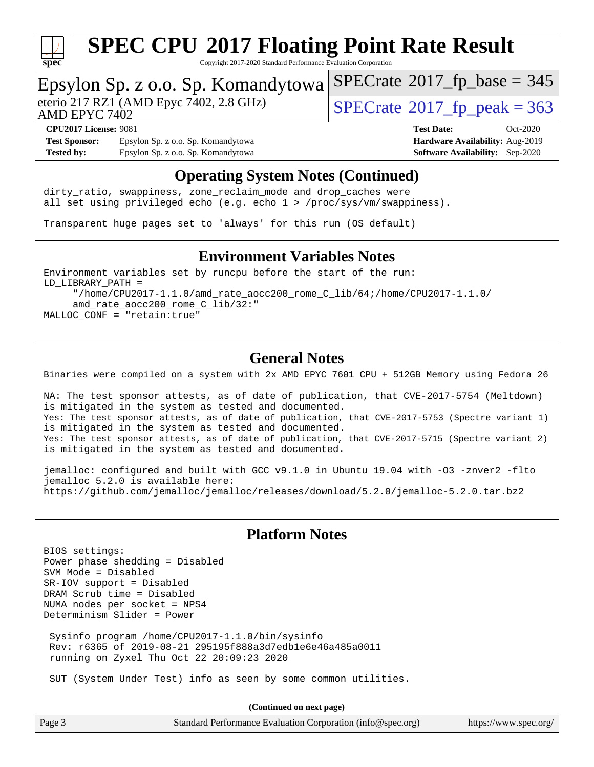

Copyright 2017-2020 Standard Performance Evaluation Corporation

### Epsylon Sp. z o.o. Sp. Komandytowa

AMD EPYC 7402

eterio 217 RZ1 (AMD Epyc 7402, 2.8 GHz)  $\sqrt{\text{SPECrate}^{\otimes}2017\_fp\_peak} = 363$  $\sqrt{\text{SPECrate}^{\otimes}2017\_fp\_peak} = 363$  $\sqrt{\text{SPECrate}^{\otimes}2017\_fp\_peak} = 363$ 

 $SPECTate@2017_fp\_base = 345$ 

**[Test Sponsor:](http://www.spec.org/auto/cpu2017/Docs/result-fields.html#TestSponsor)** Epsylon Sp. z o.o. Sp. Komandytowa **[Hardware Availability:](http://www.spec.org/auto/cpu2017/Docs/result-fields.html#HardwareAvailability)** Aug-2019 **[Tested by:](http://www.spec.org/auto/cpu2017/Docs/result-fields.html#Testedby)** Epsylon Sp. z o.o. Sp. Komandytowa **[Software Availability:](http://www.spec.org/auto/cpu2017/Docs/result-fields.html#SoftwareAvailability)** Sep-2020

# **[CPU2017 License:](http://www.spec.org/auto/cpu2017/Docs/result-fields.html#CPU2017License)** 9081 **[Test Date:](http://www.spec.org/auto/cpu2017/Docs/result-fields.html#TestDate)** Oct-2020

### **[Operating System Notes \(Continued\)](http://www.spec.org/auto/cpu2017/Docs/result-fields.html#OperatingSystemNotes)**

dirty\_ratio, swappiness, zone\_reclaim\_mode and drop caches were all set using privileged echo (e.g. echo 1 > /proc/sys/vm/swappiness).

Transparent huge pages set to 'always' for this run (OS default)

### **[Environment Variables Notes](http://www.spec.org/auto/cpu2017/Docs/result-fields.html#EnvironmentVariablesNotes)**

Environment variables set by runcpu before the start of the run: LD\_LIBRARY\_PATH = "/home/CPU2017-1.1.0/amd\_rate\_aocc200\_rome\_C\_lib/64;/home/CPU2017-1.1.0/ amd\_rate\_aocc200\_rome\_C\_lib/32:" MALLOC\_CONF = "retain:true"

### **[General Notes](http://www.spec.org/auto/cpu2017/Docs/result-fields.html#GeneralNotes)**

Binaries were compiled on a system with 2x AMD EPYC 7601 CPU + 512GB Memory using Fedora 26

NA: The test sponsor attests, as of date of publication, that CVE-2017-5754 (Meltdown) is mitigated in the system as tested and documented. Yes: The test sponsor attests, as of date of publication, that CVE-2017-5753 (Spectre variant 1) is mitigated in the system as tested and documented. Yes: The test sponsor attests, as of date of publication, that CVE-2017-5715 (Spectre variant 2) is mitigated in the system as tested and documented.

jemalloc: configured and built with GCC v9.1.0 in Ubuntu 19.04 with -O3 -znver2 -flto jemalloc 5.2.0 is available here: <https://github.com/jemalloc/jemalloc/releases/download/5.2.0/jemalloc-5.2.0.tar.bz2>

### **[Platform Notes](http://www.spec.org/auto/cpu2017/Docs/result-fields.html#PlatformNotes)**

BIOS settings: Power phase shedding = Disabled SVM Mode = Disabled SR-IOV support = Disabled DRAM Scrub time = Disabled NUMA nodes per socket = NPS4 Determinism Slider = Power

 Sysinfo program /home/CPU2017-1.1.0/bin/sysinfo Rev: r6365 of 2019-08-21 295195f888a3d7edb1e6e46a485a0011 running on Zyxel Thu Oct 22 20:09:23 2020

SUT (System Under Test) info as seen by some common utilities.

**(Continued on next page)**

Page 3 Standard Performance Evaluation Corporation [\(info@spec.org\)](mailto:info@spec.org) <https://www.spec.org/>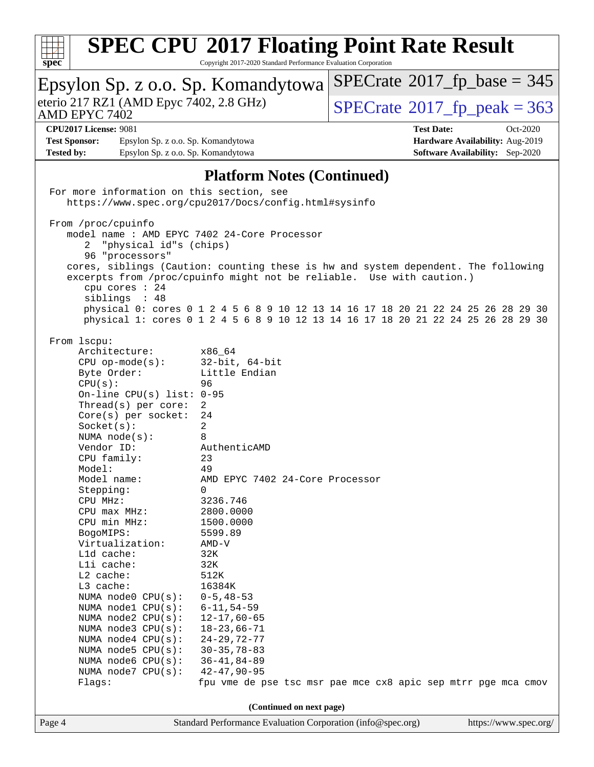

Copyright 2017-2020 Standard Performance Evaluation Corporation

| Epsylon Sp. z o.o. Sp. Komandytowa                                                                                                                    |                                                             | $SPECrate^{\circ}2017$ _fp_base = 345                                                                                                                                  |
|-------------------------------------------------------------------------------------------------------------------------------------------------------|-------------------------------------------------------------|------------------------------------------------------------------------------------------------------------------------------------------------------------------------|
| eterio 217 RZ1 (AMD Epyc 7402, 2.8 GHz)<br>AMD EPYC 7402                                                                                              |                                                             | $SPECrate^{\circ}2017$ fp peak = 363                                                                                                                                   |
| <b>CPU2017 License: 9081</b><br><b>Test Sponsor:</b><br>Epsylon Sp. z o.o. Sp. Komandytowa<br><b>Tested by:</b><br>Epsylon Sp. z o.o. Sp. Komandytowa |                                                             | <b>Test Date:</b><br>Oct-2020<br>Hardware Availability: Aug-2019<br><b>Software Availability:</b> Sep-2020                                                             |
|                                                                                                                                                       |                                                             |                                                                                                                                                                        |
|                                                                                                                                                       | <b>Platform Notes (Continued)</b>                           |                                                                                                                                                                        |
| For more information on this section, see                                                                                                             | https://www.spec.org/cpu2017/Docs/config.html#sysinfo       |                                                                                                                                                                        |
| From /proc/cpuinfo                                                                                                                                    |                                                             |                                                                                                                                                                        |
| model name : AMD EPYC 7402 24-Core Processor<br>"physical id"s (chips)<br>2                                                                           |                                                             |                                                                                                                                                                        |
| 96 "processors"                                                                                                                                       |                                                             |                                                                                                                                                                        |
|                                                                                                                                                       |                                                             | cores, siblings (Caution: counting these is hw and system dependent. The following                                                                                     |
|                                                                                                                                                       |                                                             | excerpts from /proc/cpuinfo might not be reliable. Use with caution.)                                                                                                  |
| cpu cores : 24                                                                                                                                        |                                                             |                                                                                                                                                                        |
| siblings : 48                                                                                                                                         |                                                             |                                                                                                                                                                        |
|                                                                                                                                                       |                                                             | physical 0: cores 0 1 2 4 5 6 8 9 10 12 13 14 16 17 18 20 21 22 24 25 26 28 29 30<br>physical 1: cores 0 1 2 4 5 6 8 9 10 12 13 14 16 17 18 20 21 22 24 25 26 28 29 30 |
|                                                                                                                                                       |                                                             |                                                                                                                                                                        |
| From 1scpu:                                                                                                                                           |                                                             |                                                                                                                                                                        |
| Architecture:                                                                                                                                         | x86 64                                                      |                                                                                                                                                                        |
| $CPU$ op-mode( $s$ ):                                                                                                                                 | $32$ -bit, $64$ -bit                                        |                                                                                                                                                                        |
| Byte Order:                                                                                                                                           | Little Endian                                               |                                                                                                                                                                        |
| CPU(s):                                                                                                                                               | 96                                                          |                                                                                                                                                                        |
| On-line CPU(s) list: $0-95$                                                                                                                           |                                                             |                                                                                                                                                                        |
| Thread( $s$ ) per core:<br>$Core(s)$ per socket:                                                                                                      | 2<br>24                                                     |                                                                                                                                                                        |
| Socket(s):                                                                                                                                            | 2                                                           |                                                                                                                                                                        |
| NUMA $node(s):$                                                                                                                                       | 8                                                           |                                                                                                                                                                        |
| Vendor ID:                                                                                                                                            | AuthenticAMD                                                |                                                                                                                                                                        |
| CPU family:                                                                                                                                           | 23                                                          |                                                                                                                                                                        |
| Model:                                                                                                                                                | 49                                                          |                                                                                                                                                                        |
| Model name:                                                                                                                                           | AMD EPYC 7402 24-Core Processor                             |                                                                                                                                                                        |
| Stepping:                                                                                                                                             | 0                                                           |                                                                                                                                                                        |
| $CPU$ $MHz:$<br>CPU max MHz:                                                                                                                          | 3236.746<br>2800.0000                                       |                                                                                                                                                                        |
| CPU min MHz:                                                                                                                                          | 1500.0000                                                   |                                                                                                                                                                        |
| BogoMIPS:                                                                                                                                             | 5599.89                                                     |                                                                                                                                                                        |
| Virtualization:                                                                                                                                       | $AMD-V$                                                     |                                                                                                                                                                        |
| L1d cache:                                                                                                                                            | 32K                                                         |                                                                                                                                                                        |
| Lli cache:                                                                                                                                            | 32K                                                         |                                                                                                                                                                        |
| L2 cache:                                                                                                                                             | 512K<br>16384K                                              |                                                                                                                                                                        |
| L3 cache:<br>NUMA node0 CPU(s):                                                                                                                       | $0 - 5, 48 - 53$                                            |                                                                                                                                                                        |
| NUMA nodel CPU(s):                                                                                                                                    | $6 - 11, 54 - 59$                                           |                                                                                                                                                                        |
| NUMA $node2$ $CPU(s):$                                                                                                                                | $12 - 17,60 - 65$                                           |                                                                                                                                                                        |
| NUMA $node3$ CPU $(s)$ :                                                                                                                              | $18 - 23,66 - 71$                                           |                                                                                                                                                                        |
| NUMA node4 CPU(s):                                                                                                                                    | $24 - 29, 72 - 77$                                          |                                                                                                                                                                        |
| NUMA $node5$ $CPU(s):$                                                                                                                                | $30 - 35, 78 - 83$                                          |                                                                                                                                                                        |
| NUMA node6 $CPU(s):$                                                                                                                                  | $36 - 41, 84 - 89$                                          |                                                                                                                                                                        |
| NUMA node7 CPU(s):                                                                                                                                    | $42 - 47, 90 - 95$                                          | fpu vme de pse tsc msr pae mce cx8 apic sep mtrr pge mca cmov                                                                                                          |
| Flags:                                                                                                                                                |                                                             |                                                                                                                                                                        |
|                                                                                                                                                       | (Continued on next page)                                    |                                                                                                                                                                        |
| Page 4                                                                                                                                                | Standard Performance Evaluation Corporation (info@spec.org) | https://www.spec.org/                                                                                                                                                  |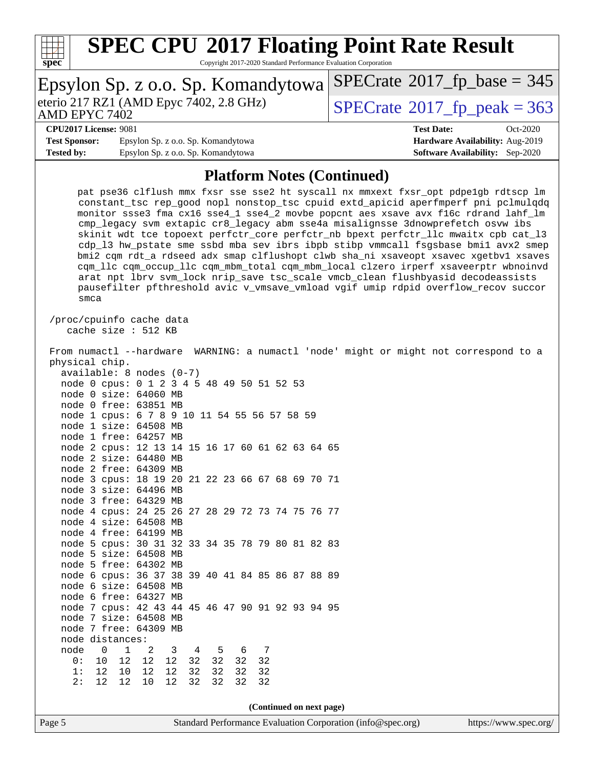

Copyright 2017-2020 Standard Performance Evaluation Corporation

|                              | Epsylon Sp. z o.o. Sp. Komandytowa SPECrate®2017_fp_base = 345 |                                             |            |
|------------------------------|----------------------------------------------------------------|---------------------------------------------|------------|
| AMD EPYC 7402                | eterio 217 RZ1 (AMD Epyc 7402, 2.8 GHz)                        | $SPECrate^{\circledcirc}2017$ fp peak = 363 |            |
| <b>CPU2017 License: 9081</b> |                                                                | <b>Test Date:</b>                           | $Oct-2020$ |
| <b>Test Sponsor:</b>         | Epsylon Sp. z o.o. Sp. Komandytowa                             | Hardware Availability: Aug-2019             |            |
| <b>Tested by:</b>            | Epsylon Sp. z o.o. Sp. Komandytowa                             | <b>Software Availability:</b> Sep-2020      |            |

### **[Platform Notes \(Continued\)](http://www.spec.org/auto/cpu2017/Docs/result-fields.html#PlatformNotes)**

 pat pse36 clflush mmx fxsr sse sse2 ht syscall nx mmxext fxsr\_opt pdpe1gb rdtscp lm constant\_tsc rep\_good nopl nonstop\_tsc cpuid extd\_apicid aperfmperf pni pclmulqdq monitor ssse3 fma cx16 sse4\_1 sse4\_2 movbe popcnt aes xsave avx f16c rdrand lahf\_lm cmp\_legacy svm extapic cr8\_legacy abm sse4a misalignsse 3dnowprefetch osvw ibs skinit wdt tce topoext perfctr\_core perfctr\_nb bpext perfctr\_llc mwaitx cpb cat\_l3 cdp\_l3 hw\_pstate sme ssbd mba sev ibrs ibpb stibp vmmcall fsgsbase bmi1 avx2 smep bmi2 cqm rdt\_a rdseed adx smap clflushopt clwb sha\_ni xsaveopt xsavec xgetbv1 xsaves cqm\_llc cqm\_occup\_llc cqm\_mbm\_total cqm\_mbm\_local clzero irperf xsaveerptr wbnoinvd arat npt lbrv svm\_lock nrip\_save tsc\_scale vmcb\_clean flushbyasid decodeassists pausefilter pfthreshold avic v\_vmsave\_vmload vgif umip rdpid overflow\_recov succor smca /proc/cpuinfo cache data cache size : 512 KB From numactl --hardware WARNING: a numactl 'node' might or might not correspond to a

| Page 5 |      |                                                                     |          |           |    |       |       |                          |  |  | Standard Performance Evaluation Corporation (info@spec.org) |  | https://www.spec.org/                                                                |  |
|--------|------|---------------------------------------------------------------------|----------|-----------|----|-------|-------|--------------------------|--|--|-------------------------------------------------------------|--|--------------------------------------------------------------------------------------|--|
|        |      |                                                                     |          |           |    |       |       | (Continued on next page) |  |  |                                                             |  |                                                                                      |  |
|        | 2:   | 12<br>12                                                            | 10       | 12        | 32 | 32    | 32    | 32                       |  |  |                                                             |  |                                                                                      |  |
|        | 1:   | 12 10 12                                                            |          | 12        |    | 32 32 | 32    | 32                       |  |  |                                                             |  |                                                                                      |  |
|        | 0:   | 10 12 12                                                            |          | 12        |    | 32 32 | 32 32 |                          |  |  |                                                             |  |                                                                                      |  |
|        | node | $\overline{0}$                                                      | $1 \t 2$ | 3 4 5 6 7 |    |       |       |                          |  |  |                                                             |  |                                                                                      |  |
|        |      | node distances:                                                     |          |           |    |       |       |                          |  |  |                                                             |  |                                                                                      |  |
|        |      | node 7 free: 64309 MB                                               |          |           |    |       |       |                          |  |  |                                                             |  |                                                                                      |  |
|        |      | node 7 size: 64508 MB                                               |          |           |    |       |       |                          |  |  |                                                             |  |                                                                                      |  |
|        |      | node 7 cpus: 42 43 44 45 46 47 90 91 92 93 94 95                    |          |           |    |       |       |                          |  |  |                                                             |  |                                                                                      |  |
|        |      | node 6 free: 64327 MB                                               |          |           |    |       |       |                          |  |  |                                                             |  |                                                                                      |  |
|        |      | node 6 size: 64508 MB                                               |          |           |    |       |       |                          |  |  |                                                             |  |                                                                                      |  |
|        |      | node 6 cpus: 36 37 38 39 40 41 84 85 86 87 88 89                    |          |           |    |       |       |                          |  |  |                                                             |  |                                                                                      |  |
|        |      | node 5 free: 64302 MB                                               |          |           |    |       |       |                          |  |  |                                                             |  |                                                                                      |  |
|        |      | node 5 size: 64508 MB                                               |          |           |    |       |       |                          |  |  |                                                             |  |                                                                                      |  |
|        |      | node 5 cpus: 30 31 32 33 34 35 78 79 80 81 82 83                    |          |           |    |       |       |                          |  |  |                                                             |  |                                                                                      |  |
|        |      | node 4 free: 64199 MB                                               |          |           |    |       |       |                          |  |  |                                                             |  |                                                                                      |  |
|        |      | node 4 size: 64508 MB                                               |          |           |    |       |       |                          |  |  |                                                             |  |                                                                                      |  |
|        |      | node 4 cpus: 24 25 26 27 28 29 72 73 74 75 76 77                    |          |           |    |       |       |                          |  |  |                                                             |  |                                                                                      |  |
|        |      | node 3 free: 64329 MB                                               |          |           |    |       |       |                          |  |  |                                                             |  |                                                                                      |  |
|        |      | node 3 size: 64496 MB                                               |          |           |    |       |       |                          |  |  |                                                             |  |                                                                                      |  |
|        |      | node 3 cpus: 18 19 20 21 22 23 66 67 68 69 70 71                    |          |           |    |       |       |                          |  |  |                                                             |  |                                                                                      |  |
|        |      | node 2 free: 64309 MB                                               |          |           |    |       |       |                          |  |  |                                                             |  |                                                                                      |  |
|        |      | node 2 size: 64480 MB                                               |          |           |    |       |       |                          |  |  |                                                             |  |                                                                                      |  |
|        |      | node 2 cpus: 12 13 14 15 16 17 60 61 62 63 64 65                    |          |           |    |       |       |                          |  |  |                                                             |  |                                                                                      |  |
|        |      | node 1 free: 64257 MB                                               |          |           |    |       |       |                          |  |  |                                                             |  |                                                                                      |  |
|        |      | node 1 size: 64508 MB                                               |          |           |    |       |       |                          |  |  |                                                             |  |                                                                                      |  |
|        |      | node 1 cpus: 6 7 8 9 10 11 54 55 56 57 58 59                        |          |           |    |       |       |                          |  |  |                                                             |  |                                                                                      |  |
|        |      | node 0 free: 63851 MB                                               |          |           |    |       |       |                          |  |  |                                                             |  |                                                                                      |  |
|        |      | node 0 cpus: 0 1 2 3 4 5 48 49 50 51 52 53<br>node 0 size: 64060 MB |          |           |    |       |       |                          |  |  |                                                             |  |                                                                                      |  |
|        |      | $available: 8 nodes (0-7)$                                          |          |           |    |       |       |                          |  |  |                                                             |  |                                                                                      |  |
|        |      | physical chip.                                                      |          |           |    |       |       |                          |  |  |                                                             |  |                                                                                      |  |
|        |      |                                                                     |          |           |    |       |       |                          |  |  |                                                             |  | From numactl --hardware WARNING: a numactl 'node' might or might not correspond to a |  |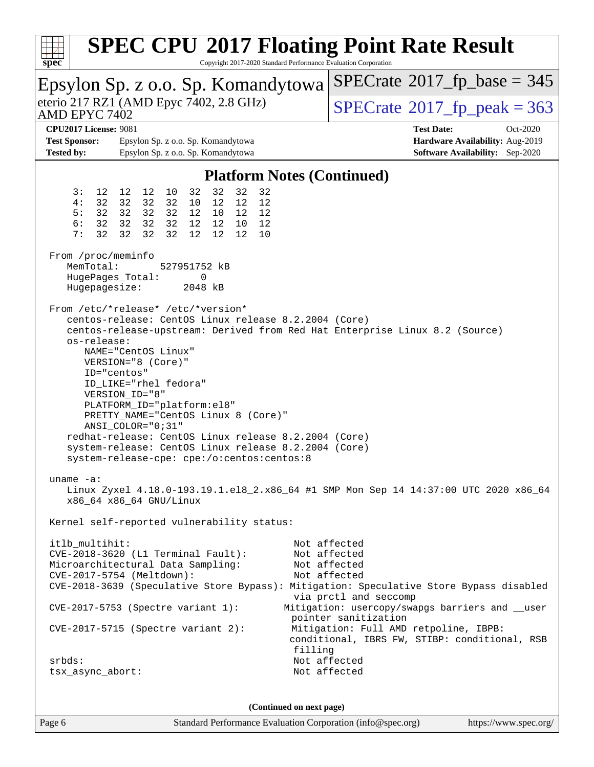| $spec^*$                                                                         |                                                                                                                                                                                                                                                                                                                                                                                                                                                                                                                                                         |                                                                                                                  | Copyright 2017-2020 Standard Performance Evaluation Corporation | <b>SPEC CPU®2017 Floating Point Rate Result</b>                                                                                                                                  |  |  |  |  |  |
|----------------------------------------------------------------------------------|---------------------------------------------------------------------------------------------------------------------------------------------------------------------------------------------------------------------------------------------------------------------------------------------------------------------------------------------------------------------------------------------------------------------------------------------------------------------------------------------------------------------------------------------------------|------------------------------------------------------------------------------------------------------------------|-----------------------------------------------------------------|----------------------------------------------------------------------------------------------------------------------------------------------------------------------------------|--|--|--|--|--|
| Epsylon Sp. z o.o. Sp. Komandytowa                                               |                                                                                                                                                                                                                                                                                                                                                                                                                                                                                                                                                         |                                                                                                                  |                                                                 | $SPECrate^{\circ}2017$ [p base = 345                                                                                                                                             |  |  |  |  |  |
| eterio 217 RZ1 (AMD Epyc 7402, 2.8 GHz)<br>AMD EPYC 7402                         |                                                                                                                                                                                                                                                                                                                                                                                                                                                                                                                                                         |                                                                                                                  |                                                                 | $SPECTate^{\circ}2017$ _fp_peak = 363                                                                                                                                            |  |  |  |  |  |
| <b>CPU2017 License: 9081</b><br><b>Test Sponsor:</b><br><b>Tested by:</b>        |                                                                                                                                                                                                                                                                                                                                                                                                                                                                                                                                                         | Epsylon Sp. z o.o. Sp. Komandytowa<br>Epsylon Sp. z o.o. Sp. Komandytowa                                         |                                                                 | <b>Test Date:</b><br>Oct-2020<br>Hardware Availability: Aug-2019<br><b>Software Availability:</b> Sep-2020                                                                       |  |  |  |  |  |
|                                                                                  |                                                                                                                                                                                                                                                                                                                                                                                                                                                                                                                                                         |                                                                                                                  | <b>Platform Notes (Continued)</b>                               |                                                                                                                                                                                  |  |  |  |  |  |
| 3:<br>12<br>32<br>4 :<br>32<br>5:<br>6:<br>32<br>32<br>7:                        | 12<br>12<br>10<br>32<br>32<br>32<br>32 32 32<br>32 32 32<br>32<br>32<br>32                                                                                                                                                                                                                                                                                                                                                                                                                                                                              | 32<br>32<br>32<br>12<br>12<br>10<br>12 <sup>°</sup><br>12<br>10<br>12<br>12<br>10<br>12 <sup>°</sup><br>12<br>12 | 32<br>12<br>12<br>12<br>10                                      |                                                                                                                                                                                  |  |  |  |  |  |
| From /proc/meminfo<br>MemTotal:<br>HugePages_Total:<br>Hugepagesize:             |                                                                                                                                                                                                                                                                                                                                                                                                                                                                                                                                                         | 527951752 kB<br>0<br>2048 kB                                                                                     |                                                                 |                                                                                                                                                                                  |  |  |  |  |  |
|                                                                                  | From /etc/*release* /etc/*version*<br>centos-release: CentOS Linux release 8.2.2004 (Core)<br>centos-release-upstream: Derived from Red Hat Enterprise Linux 8.2 (Source)<br>os-release:<br>NAME="CentOS Linux"<br>VERSION="8 (Core)"<br>ID="centos"<br>ID_LIKE="rhel fedora"<br>VERSION_ID="8"<br>PLATFORM_ID="platform:el8"<br>PRETTY_NAME="CentOS Linux 8 (Core)"<br>ANSI_COLOR="0;31"<br>redhat-release: CentOS Linux release 8.2.2004 (Core)<br>system-release: CentOS Linux release 8.2.2004 (Core)<br>system-release-cpe: cpe:/o:centos:centos:8 |                                                                                                                  |                                                                 |                                                                                                                                                                                  |  |  |  |  |  |
| uname $-a$ :                                                                     | x86_64 x86_64 GNU/Linux                                                                                                                                                                                                                                                                                                                                                                                                                                                                                                                                 |                                                                                                                  |                                                                 | Linux Zyxel 4.18.0-193.19.1.el8_2.x86_64 #1 SMP Mon Sep 14 14:37:00 UTC 2020 x86_64                                                                                              |  |  |  |  |  |
|                                                                                  |                                                                                                                                                                                                                                                                                                                                                                                                                                                                                                                                                         | Kernel self-reported vulnerability status:                                                                       |                                                                 |                                                                                                                                                                                  |  |  |  |  |  |
| itlb_multihit:<br>Microarchitectural Data Sampling:<br>CVE-2017-5754 (Meltdown): |                                                                                                                                                                                                                                                                                                                                                                                                                                                                                                                                                         | CVE-2018-3620 (L1 Terminal Fault):                                                                               |                                                                 | Not affected<br>Not affected<br>Not affected<br>Not affected<br>CVE-2018-3639 (Speculative Store Bypass): Mitigation: Speculative Store Bypass disabled<br>via prctl and seccomp |  |  |  |  |  |
| $CVE-2017-5753$ (Spectre variant 1):<br>$CVE-2017-5715$ (Spectre variant 2):     |                                                                                                                                                                                                                                                                                                                                                                                                                                                                                                                                                         |                                                                                                                  | filling                                                         | Mitigation: usercopy/swapgs barriers and __user<br>pointer sanitization<br>Mitigation: Full AMD retpoline, IBPB:<br>conditional, IBRS_FW, STIBP: conditional, RSB                |  |  |  |  |  |
| srbds:<br>tsx_async_abort:                                                       |                                                                                                                                                                                                                                                                                                                                                                                                                                                                                                                                                         |                                                                                                                  |                                                                 | Not affected<br>Not affected                                                                                                                                                     |  |  |  |  |  |

**(Continued on next page)**

 $\overline{\phantom{a}}$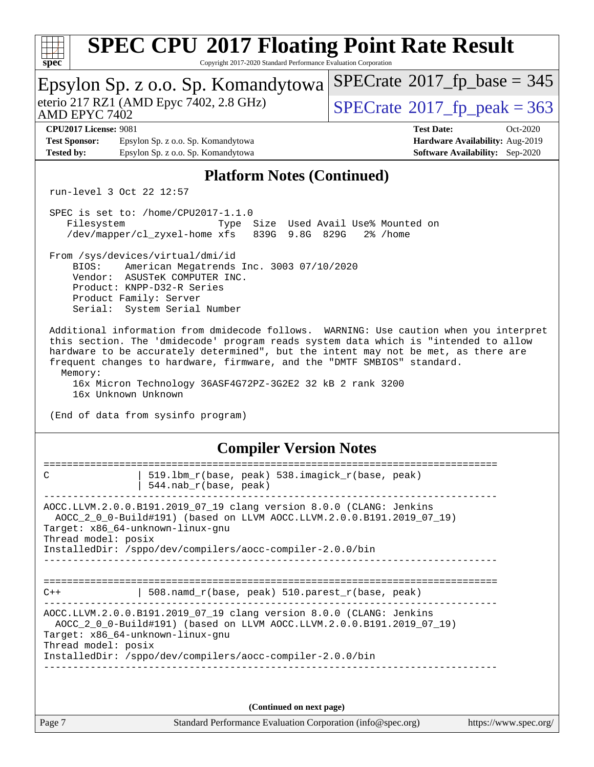| <b>SPEC CPU®2017 Floating Point Rate Result</b><br>Copyright 2017-2020 Standard Performance Evaluation Corporation<br>$spec^*$                                                                                                                                                                                                                                                                                                                                                      |                                                                                                            |  |  |  |  |  |  |  |  |
|-------------------------------------------------------------------------------------------------------------------------------------------------------------------------------------------------------------------------------------------------------------------------------------------------------------------------------------------------------------------------------------------------------------------------------------------------------------------------------------|------------------------------------------------------------------------------------------------------------|--|--|--|--|--|--|--|--|
| Epsylon Sp. z o.o. Sp. Komandytowa                                                                                                                                                                                                                                                                                                                                                                                                                                                  | $SPECrate^{\circ}2017_fp\_base = 345$                                                                      |  |  |  |  |  |  |  |  |
| eterio 217 RZ1 (AMD Epyc 7402, 2.8 GHz)<br>AMD EPYC 7402                                                                                                                                                                                                                                                                                                                                                                                                                            | $SPECTate^{\circ}2017$ _fp_peak = 363                                                                      |  |  |  |  |  |  |  |  |
| <b>CPU2017 License: 9081</b><br><b>Test Sponsor:</b><br>Epsylon Sp. z o.o. Sp. Komandytowa<br><b>Tested by:</b><br>Epsylon Sp. z o.o. Sp. Komandytowa                                                                                                                                                                                                                                                                                                                               | <b>Test Date:</b><br>Oct-2020<br>Hardware Availability: Aug-2019<br><b>Software Availability:</b> Sep-2020 |  |  |  |  |  |  |  |  |
| <b>Platform Notes (Continued)</b>                                                                                                                                                                                                                                                                                                                                                                                                                                                   |                                                                                                            |  |  |  |  |  |  |  |  |
| run-level 3 Oct 22 12:57                                                                                                                                                                                                                                                                                                                                                                                                                                                            |                                                                                                            |  |  |  |  |  |  |  |  |
| SPEC is set to: /home/CPU2017-1.1.0<br>Size Used Avail Use% Mounted on<br>Filesystem<br>Type<br>/dev/mapper/cl_zyxel-home xfs<br>839G 9.8G 829G<br>$2\%$ /home                                                                                                                                                                                                                                                                                                                      |                                                                                                            |  |  |  |  |  |  |  |  |
| From /sys/devices/virtual/dmi/id<br>American Megatrends Inc. 3003 07/10/2020<br>BIOS:<br>Vendor: ASUSTeK COMPUTER INC.<br>Product: KNPP-D32-R Series<br>Product Family: Server<br>Serial: System Serial Number                                                                                                                                                                                                                                                                      |                                                                                                            |  |  |  |  |  |  |  |  |
| Additional information from dmidecode follows. WARNING: Use caution when you interpret<br>this section. The 'dmidecode' program reads system data which is "intended to allow<br>hardware to be accurately determined", but the intent may not be met, as there are<br>frequent changes to hardware, firmware, and the "DMTF SMBIOS" standard.<br>Memory:<br>16x Micron Technology 36ASF4G72PZ-3G2E2 32 kB 2 rank 3200<br>16x Unknown Unknown<br>(End of data from sysinfo program) |                                                                                                            |  |  |  |  |  |  |  |  |
| <b>Compiler Version Notes</b>                                                                                                                                                                                                                                                                                                                                                                                                                                                       |                                                                                                            |  |  |  |  |  |  |  |  |
| C<br>519.1bm_r(base, peak) 538.imagick_r(base, peak)<br>544. nab $r(base, peak)$                                                                                                                                                                                                                                                                                                                                                                                                    |                                                                                                            |  |  |  |  |  |  |  |  |
| ----------------<br>AOCC.LLVM.2.0.0.B191.2019_07_19 clang version 8.0.0 (CLANG: Jenkins<br>AOCC_2_0_0-Build#191) (based on LLVM AOCC.LLVM.2.0.0.B191.2019_07_19)<br>Target: x86_64-unknown-linux-gnu<br>Thread model: posix<br>InstalledDir: /sppo/dev/compilers/aocc-compiler-2.0.0/bin                                                                                                                                                                                            |                                                                                                            |  |  |  |  |  |  |  |  |
| 508.namd_r(base, peak) 510.parest_r(base, peak)<br>C++                                                                                                                                                                                                                                                                                                                                                                                                                              |                                                                                                            |  |  |  |  |  |  |  |  |
| AOCC.LLVM.2.0.0.B191.2019_07_19 clang version 8.0.0 (CLANG: Jenkins<br>AOCC_2_0_0-Build#191) (based on LLVM AOCC.LLVM.2.0.0.B191.2019_07_19)<br>Target: x86_64-unknown-linux-gnu<br>Thread model: posix<br>InstalledDir: /sppo/dev/compilers/aocc-compiler-2.0.0/bin                                                                                                                                                                                                                |                                                                                                            |  |  |  |  |  |  |  |  |
|                                                                                                                                                                                                                                                                                                                                                                                                                                                                                     |                                                                                                            |  |  |  |  |  |  |  |  |
| (Continued on next page)                                                                                                                                                                                                                                                                                                                                                                                                                                                            |                                                                                                            |  |  |  |  |  |  |  |  |
| Page 7<br>Standard Performance Evaluation Corporation (info@spec.org)                                                                                                                                                                                                                                                                                                                                                                                                               | https://www.spec.org/                                                                                      |  |  |  |  |  |  |  |  |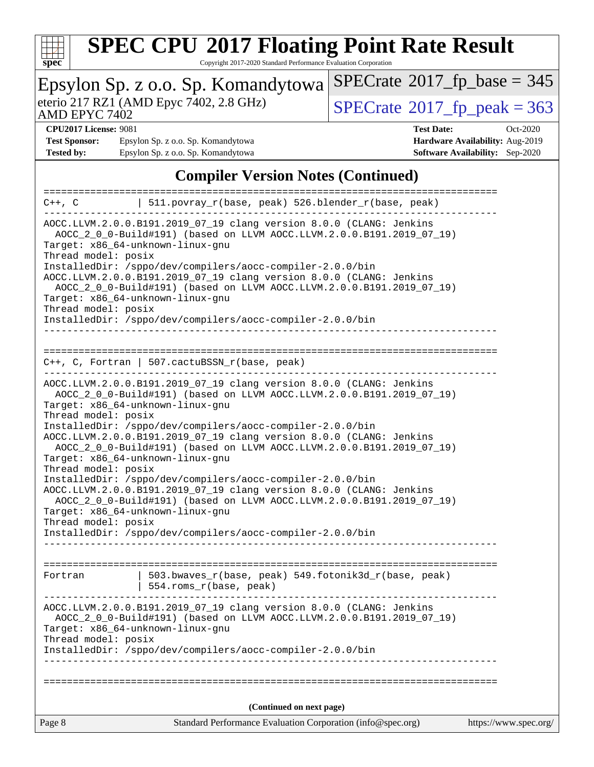

Copyright 2017-2020 Standard Performance Evaluation Corporation

| Epsylon Sp. z o.o. Sp. Komandytowa                                                                                                                                                                                                                                                                                                                                                                                                                                                                                                                                                                                                                                                                                                                                                                                   | $SPECrate^{\circ}2017$ [p base = 345                                      |  |  |  |  |  |  |  |
|----------------------------------------------------------------------------------------------------------------------------------------------------------------------------------------------------------------------------------------------------------------------------------------------------------------------------------------------------------------------------------------------------------------------------------------------------------------------------------------------------------------------------------------------------------------------------------------------------------------------------------------------------------------------------------------------------------------------------------------------------------------------------------------------------------------------|---------------------------------------------------------------------------|--|--|--|--|--|--|--|
| eterio 217 RZ1 (AMD Epyc 7402, 2.8 GHz)<br><b>AMD EPYC 7402</b>                                                                                                                                                                                                                                                                                                                                                                                                                                                                                                                                                                                                                                                                                                                                                      | $SPECTate@2017_fp\_peak = 363$                                            |  |  |  |  |  |  |  |
| <b>CPU2017 License: 9081</b>                                                                                                                                                                                                                                                                                                                                                                                                                                                                                                                                                                                                                                                                                                                                                                                         | <b>Test Date:</b><br>Oct-2020                                             |  |  |  |  |  |  |  |
| Epsylon Sp. z o.o. Sp. Komandytowa<br><b>Test Sponsor:</b><br><b>Tested by:</b><br>Epsylon Sp. z o.o. Sp. Komandytowa                                                                                                                                                                                                                                                                                                                                                                                                                                                                                                                                                                                                                                                                                                | Hardware Availability: Aug-2019<br><b>Software Availability:</b> Sep-2020 |  |  |  |  |  |  |  |
|                                                                                                                                                                                                                                                                                                                                                                                                                                                                                                                                                                                                                                                                                                                                                                                                                      |                                                                           |  |  |  |  |  |  |  |
| <b>Compiler Version Notes (Continued)</b>                                                                                                                                                                                                                                                                                                                                                                                                                                                                                                                                                                                                                                                                                                                                                                            | ==================                                                        |  |  |  |  |  |  |  |
| 511.povray_r(base, peak) 526.blender_r(base, peak)<br>$C++$ , $C$                                                                                                                                                                                                                                                                                                                                                                                                                                                                                                                                                                                                                                                                                                                                                    |                                                                           |  |  |  |  |  |  |  |
| AOCC.LLVM.2.0.0.B191.2019_07_19 clang version 8.0.0 (CLANG: Jenkins<br>AOCC_2_0_0-Build#191) (based on LLVM AOCC.LLVM.2.0.0.B191.2019_07_19)<br>Target: x86_64-unknown-linux-gnu<br>Thread model: posix<br>InstalledDir: /sppo/dev/compilers/aocc-compiler-2.0.0/bin<br>AOCC.LLVM.2.0.0.B191.2019_07_19 clang version 8.0.0 (CLANG: Jenkins<br>AOCC_2_0_0-Build#191) (based on LLVM AOCC.LLVM.2.0.0.B191.2019_07_19)<br>Target: x86_64-unknown-linux-gnu<br>Thread model: posix<br>InstalledDir: /sppo/dev/compilers/aocc-compiler-2.0.0/bin                                                                                                                                                                                                                                                                         |                                                                           |  |  |  |  |  |  |  |
| $C++$ , C, Fortran   507.cactuBSSN_r(base, peak)                                                                                                                                                                                                                                                                                                                                                                                                                                                                                                                                                                                                                                                                                                                                                                     |                                                                           |  |  |  |  |  |  |  |
| AOCC.LLVM.2.0.0.B191.2019_07_19 clang version 8.0.0 (CLANG: Jenkins<br>AOCC_2_0_0-Build#191) (based on LLVM AOCC.LLVM.2.0.0.B191.2019_07_19)<br>Target: x86_64-unknown-linux-gnu<br>Thread model: posix<br>InstalledDir: /sppo/dev/compilers/aocc-compiler-2.0.0/bin<br>AOCC.LLVM.2.0.0.B191.2019_07_19 clang version 8.0.0 (CLANG: Jenkins<br>AOCC_2_0_0-Build#191) (based on LLVM AOCC.LLVM.2.0.0.B191.2019_07_19)<br>Target: x86_64-unknown-linux-gnu<br>Thread model: posix<br>InstalledDir: /sppo/dev/compilers/aocc-compiler-2.0.0/bin<br>AOCC.LLVM.2.0.0.B191.2019_07_19 clang version 8.0.0 (CLANG: Jenkins<br>AOCC_2_0_0-Build#191) (based on LLVM AOCC.LLVM.2.0.0.B191.2019_07_19)<br>Target: x86_64-unknown-linux-gnu<br>Thread model: posix<br>InstalledDir: /sppo/dev/compilers/aocc-compiler-2.0.0/bin |                                                                           |  |  |  |  |  |  |  |
| 503.bwaves_r(base, peak) 549.fotonik3d_r(base, peak)<br>Fortran<br>554.roms_r(base, peak)                                                                                                                                                                                                                                                                                                                                                                                                                                                                                                                                                                                                                                                                                                                            |                                                                           |  |  |  |  |  |  |  |
| AOCC.LLVM.2.0.0.B191.2019_07_19 clang version 8.0.0 (CLANG: Jenkins<br>AOCC_2_0_0-Build#191) (based on LLVM AOCC.LLVM.2.0.0.B191.2019_07_19)<br>Target: x86_64-unknown-linux-gnu<br>Thread model: posix<br>InstalledDir: /sppo/dev/compilers/aocc-compiler-2.0.0/bin                                                                                                                                                                                                                                                                                                                                                                                                                                                                                                                                                 |                                                                           |  |  |  |  |  |  |  |
|                                                                                                                                                                                                                                                                                                                                                                                                                                                                                                                                                                                                                                                                                                                                                                                                                      |                                                                           |  |  |  |  |  |  |  |
| (Continued on next page)                                                                                                                                                                                                                                                                                                                                                                                                                                                                                                                                                                                                                                                                                                                                                                                             |                                                                           |  |  |  |  |  |  |  |
| Standard Performance Evaluation Corporation (info@spec.org)<br>Page 8                                                                                                                                                                                                                                                                                                                                                                                                                                                                                                                                                                                                                                                                                                                                                | https://www.spec.org/                                                     |  |  |  |  |  |  |  |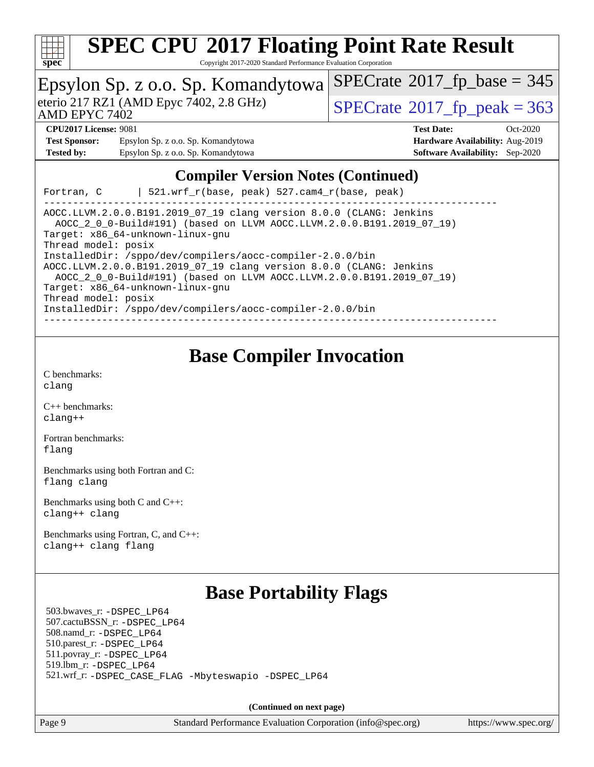

Copyright 2017-2020 Standard Performance Evaluation Corporation

|                                                                                                                                                                                                                                                                      | Epsylon Sp. z o.o. Sp. Komandytowa      | $SPECrate^{\circ}2017_fp\_base = 345$      |  |  |  |  |  |  |
|----------------------------------------------------------------------------------------------------------------------------------------------------------------------------------------------------------------------------------------------------------------------|-----------------------------------------|--------------------------------------------|--|--|--|--|--|--|
| AMD EPYC 7402                                                                                                                                                                                                                                                        | eterio 217 RZ1 (AMD Epyc 7402, 2.8 GHz) | $SPECTate$ <sup>®</sup> 2017_fp_peak = 363 |  |  |  |  |  |  |
| <b>CPU2017 License: 9081</b>                                                                                                                                                                                                                                         |                                         | <b>Test Date:</b><br>$Oct-2020$            |  |  |  |  |  |  |
| <b>Test Sponsor:</b>                                                                                                                                                                                                                                                 | Epsylon Sp. z o.o. Sp. Komandytowa      | Hardware Availability: Aug-2019            |  |  |  |  |  |  |
| <b>Tested by:</b>                                                                                                                                                                                                                                                    | Epsylon Sp. z o.o. Sp. Komandytowa      | <b>Software Availability:</b> Sep-2020     |  |  |  |  |  |  |
| <b>Compiler Version Notes (Continued)</b><br>$521.wrf_r(base, peak) 527.cam4_r(base, peak)$<br>Fortran, C                                                                                                                                                            |                                         |                                            |  |  |  |  |  |  |
| AOCC.LLVM.2.0.0.B191.2019_07_19 clang version 8.0.0 (CLANG: Jenkins<br>AOCC_2_0_0-Build#191) (based on LLVM AOCC.LLVM.2.0.0.B191.2019_07_19)<br>Target: x86_64-unknown-linux-gnu<br>Thread model: posix<br>InstalledDir: /sppo/dev/compilers/aocc-compiler-2.0.0/bin |                                         |                                            |  |  |  |  |  |  |

AOCC.LLVM.2.0.0.B191.2019\_07\_19 clang version 8.0.0 (CLANG: Jenkins AOCC\_2\_0\_0-Build#191) (based on LLVM AOCC.LLVM.2.0.0.B191.2019\_07\_19)

Target: x86\_64-unknown-linux-gnu

Thread model: posix

InstalledDir: /sppo/dev/compilers/aocc-compiler-2.0.0/bin

------------------------------------------------------------------------------

### **[Base Compiler Invocation](http://www.spec.org/auto/cpu2017/Docs/result-fields.html#BaseCompilerInvocation)**

[C benchmarks](http://www.spec.org/auto/cpu2017/Docs/result-fields.html#Cbenchmarks): [clang](http://www.spec.org/cpu2017/results/res2020q4/cpu2017-20201026-24255.flags.html#user_CCbase_clang-c)

[C++ benchmarks:](http://www.spec.org/auto/cpu2017/Docs/result-fields.html#CXXbenchmarks) [clang++](http://www.spec.org/cpu2017/results/res2020q4/cpu2017-20201026-24255.flags.html#user_CXXbase_clang-cpp)

[Fortran benchmarks](http://www.spec.org/auto/cpu2017/Docs/result-fields.html#Fortranbenchmarks): [flang](http://www.spec.org/cpu2017/results/res2020q4/cpu2017-20201026-24255.flags.html#user_FCbase_flang)

[Benchmarks using both Fortran and C](http://www.spec.org/auto/cpu2017/Docs/result-fields.html#BenchmarksusingbothFortranandC): [flang](http://www.spec.org/cpu2017/results/res2020q4/cpu2017-20201026-24255.flags.html#user_CC_FCbase_flang) [clang](http://www.spec.org/cpu2017/results/res2020q4/cpu2017-20201026-24255.flags.html#user_CC_FCbase_clang-c)

[Benchmarks using both C and C++](http://www.spec.org/auto/cpu2017/Docs/result-fields.html#BenchmarksusingbothCandCXX): [clang++](http://www.spec.org/cpu2017/results/res2020q4/cpu2017-20201026-24255.flags.html#user_CC_CXXbase_clang-cpp) [clang](http://www.spec.org/cpu2017/results/res2020q4/cpu2017-20201026-24255.flags.html#user_CC_CXXbase_clang-c)

[Benchmarks using Fortran, C, and C++:](http://www.spec.org/auto/cpu2017/Docs/result-fields.html#BenchmarksusingFortranCandCXX) [clang++](http://www.spec.org/cpu2017/results/res2020q4/cpu2017-20201026-24255.flags.html#user_CC_CXX_FCbase_clang-cpp) [clang](http://www.spec.org/cpu2017/results/res2020q4/cpu2017-20201026-24255.flags.html#user_CC_CXX_FCbase_clang-c) [flang](http://www.spec.org/cpu2017/results/res2020q4/cpu2017-20201026-24255.flags.html#user_CC_CXX_FCbase_flang)

### **[Base Portability Flags](http://www.spec.org/auto/cpu2017/Docs/result-fields.html#BasePortabilityFlags)**

 503.bwaves\_r: [-DSPEC\\_LP64](http://www.spec.org/cpu2017/results/res2020q4/cpu2017-20201026-24255.flags.html#suite_baseEXTRA_PORTABILITY503_bwaves_r_DSPEC_LP64) 507.cactuBSSN\_r: [-DSPEC\\_LP64](http://www.spec.org/cpu2017/results/res2020q4/cpu2017-20201026-24255.flags.html#suite_baseEXTRA_PORTABILITY507_cactuBSSN_r_DSPEC_LP64) 508.namd\_r: [-DSPEC\\_LP64](http://www.spec.org/cpu2017/results/res2020q4/cpu2017-20201026-24255.flags.html#suite_baseEXTRA_PORTABILITY508_namd_r_DSPEC_LP64) 510.parest\_r: [-DSPEC\\_LP64](http://www.spec.org/cpu2017/results/res2020q4/cpu2017-20201026-24255.flags.html#suite_baseEXTRA_PORTABILITY510_parest_r_DSPEC_LP64) 511.povray\_r: [-DSPEC\\_LP64](http://www.spec.org/cpu2017/results/res2020q4/cpu2017-20201026-24255.flags.html#suite_baseEXTRA_PORTABILITY511_povray_r_DSPEC_LP64) 519.lbm\_r: [-DSPEC\\_LP64](http://www.spec.org/cpu2017/results/res2020q4/cpu2017-20201026-24255.flags.html#suite_baseEXTRA_PORTABILITY519_lbm_r_DSPEC_LP64) 521.wrf\_r: [-DSPEC\\_CASE\\_FLAG](http://www.spec.org/cpu2017/results/res2020q4/cpu2017-20201026-24255.flags.html#b521.wrf_r_baseCPORTABILITY_DSPEC_CASE_FLAG) [-Mbyteswapio](http://www.spec.org/cpu2017/results/res2020q4/cpu2017-20201026-24255.flags.html#user_baseFPORTABILITY521_wrf_r_F-mbyteswapio_543c39ce38db59bcbc3b888917ef58c313007ae1c27520b689e012995ae261114051d1d5efcb4182d175ce22a6a15532d3a9999882dd2c360e6d853f41da6883) [-DSPEC\\_LP64](http://www.spec.org/cpu2017/results/res2020q4/cpu2017-20201026-24255.flags.html#suite_baseEXTRA_PORTABILITY521_wrf_r_DSPEC_LP64)

**(Continued on next page)**

Page 9 Standard Performance Evaluation Corporation [\(info@spec.org\)](mailto:info@spec.org) <https://www.spec.org/>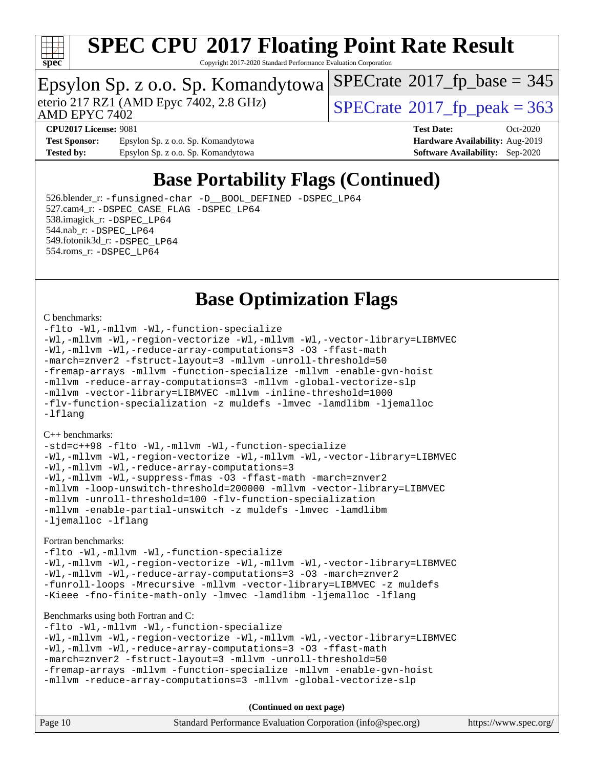

Copyright 2017-2020 Standard Performance Evaluation Corporation

### Epsylon Sp. z o.o. Sp. Komandytowa

AMD EPYC 7402

eterio 217 RZ1 (AMD Epyc 7402, 2.8 GHz)  $\text{SPECrate}$  $\text{SPECrate}$  $\text{SPECrate}$ <sup>®</sup>[2017\\_fp\\_peak = 3](http://www.spec.org/auto/cpu2017/Docs/result-fields.html#SPECrate2017fppeak)63

 $SPECTate$ <sup>®</sup>[2017\\_fp\\_base =](http://www.spec.org/auto/cpu2017/Docs/result-fields.html#SPECrate2017fpbase) 345

**[Test Sponsor:](http://www.spec.org/auto/cpu2017/Docs/result-fields.html#TestSponsor)** Epsylon Sp. z o.o. Sp. Komandytowa **[Hardware Availability:](http://www.spec.org/auto/cpu2017/Docs/result-fields.html#HardwareAvailability)** Aug-2019 **[Tested by:](http://www.spec.org/auto/cpu2017/Docs/result-fields.html#Testedby)** Epsylon Sp. z o.o. Sp. Komandytowa **[Software Availability:](http://www.spec.org/auto/cpu2017/Docs/result-fields.html#SoftwareAvailability)** Sep-2020

**[CPU2017 License:](http://www.spec.org/auto/cpu2017/Docs/result-fields.html#CPU2017License)** 9081 **[Test Date:](http://www.spec.org/auto/cpu2017/Docs/result-fields.html#TestDate)** Oct-2020

### **[Base Portability Flags \(Continued\)](http://www.spec.org/auto/cpu2017/Docs/result-fields.html#BasePortabilityFlags)**

 526.blender\_r: [-funsigned-char](http://www.spec.org/cpu2017/results/res2020q4/cpu2017-20201026-24255.flags.html#user_baseCPORTABILITY526_blender_r_aocc-unsigned-char) [-D\\_\\_BOOL\\_DEFINED](http://www.spec.org/cpu2017/results/res2020q4/cpu2017-20201026-24255.flags.html#b526.blender_r_baseCXXPORTABILITY_D__BOOL_DEFINED) [-DSPEC\\_LP64](http://www.spec.org/cpu2017/results/res2020q4/cpu2017-20201026-24255.flags.html#suite_baseEXTRA_PORTABILITY526_blender_r_DSPEC_LP64) 527.cam4\_r: [-DSPEC\\_CASE\\_FLAG](http://www.spec.org/cpu2017/results/res2020q4/cpu2017-20201026-24255.flags.html#b527.cam4_r_basePORTABILITY_DSPEC_CASE_FLAG) [-DSPEC\\_LP64](http://www.spec.org/cpu2017/results/res2020q4/cpu2017-20201026-24255.flags.html#suite_baseEXTRA_PORTABILITY527_cam4_r_DSPEC_LP64) 538.imagick\_r: [-DSPEC\\_LP64](http://www.spec.org/cpu2017/results/res2020q4/cpu2017-20201026-24255.flags.html#suite_baseEXTRA_PORTABILITY538_imagick_r_DSPEC_LP64) 544.nab\_r: [-DSPEC\\_LP64](http://www.spec.org/cpu2017/results/res2020q4/cpu2017-20201026-24255.flags.html#suite_baseEXTRA_PORTABILITY544_nab_r_DSPEC_LP64) 549.fotonik3d\_r: [-DSPEC\\_LP64](http://www.spec.org/cpu2017/results/res2020q4/cpu2017-20201026-24255.flags.html#suite_baseEXTRA_PORTABILITY549_fotonik3d_r_DSPEC_LP64) 554.roms\_r: [-DSPEC\\_LP64](http://www.spec.org/cpu2017/results/res2020q4/cpu2017-20201026-24255.flags.html#suite_baseEXTRA_PORTABILITY554_roms_r_DSPEC_LP64)

### **[Base Optimization Flags](http://www.spec.org/auto/cpu2017/Docs/result-fields.html#BaseOptimizationFlags)**

#### [C benchmarks](http://www.spec.org/auto/cpu2017/Docs/result-fields.html#Cbenchmarks):

[-flto](http://www.spec.org/cpu2017/results/res2020q4/cpu2017-20201026-24255.flags.html#user_CCbase_aocc-flto) [-Wl,-mllvm -Wl,-function-specialize](http://www.spec.org/cpu2017/results/res2020q4/cpu2017-20201026-24255.flags.html#user_CCbase_F-function-specialize_7e7e661e57922243ee67c9a1251cb8910e607325179a0ce7f2884e09a6f5d4a5ef0ae4f37e8a2a11c95fc48e931f06dc2b6016f14b511fcb441e048bef1b065a) [-Wl,-mllvm -Wl,-region-vectorize](http://www.spec.org/cpu2017/results/res2020q4/cpu2017-20201026-24255.flags.html#user_CCbase_F-region-vectorize_fb6c6b5aa293c88efc6c7c2b52b20755e943585b1fe8658c35afef78727fff56e1a56891413c30e36b8e2a6f9a71126986319243e80eb6110b78b288f533c52b) [-Wl,-mllvm -Wl,-vector-library=LIBMVEC](http://www.spec.org/cpu2017/results/res2020q4/cpu2017-20201026-24255.flags.html#user_CCbase_F-use-vector-library_0a14b27fae317f283640384a31f7bfcc2bd4c1d0b5cfc618a3a430800c9b20217b00f61303eff223a3251b4f06ffbc9739dc5296db9d1fbb9ad24a3939d86d66) [-Wl,-mllvm -Wl,-reduce-array-computations=3](http://www.spec.org/cpu2017/results/res2020q4/cpu2017-20201026-24255.flags.html#user_CCbase_F-reduce-array-computations_b882aefe7a5dda4e33149f6299762b9a720dace3e498e13756f4c04e5a19edf5315c1f3993de2e61ec41e8c206231f84e05da7040e1bb5d69ba27d10a12507e4) [-O3](http://www.spec.org/cpu2017/results/res2020q4/cpu2017-20201026-24255.flags.html#user_CCbase_F-O3) [-ffast-math](http://www.spec.org/cpu2017/results/res2020q4/cpu2017-20201026-24255.flags.html#user_CCbase_aocc-ffast-math) [-march=znver2](http://www.spec.org/cpu2017/results/res2020q4/cpu2017-20201026-24255.flags.html#user_CCbase_aocc-march_3e2e19cff2eeef60c5d90b059483627c9ea47eca6d66670dbd53f9185f6439e27eb5e104cf773e9e8ab18c8842ce63e461a3e948d0214bd567ef3ade411bf467) [-fstruct-layout=3](http://www.spec.org/cpu2017/results/res2020q4/cpu2017-20201026-24255.flags.html#user_CCbase_F-struct-layout) [-mllvm -unroll-threshold=50](http://www.spec.org/cpu2017/results/res2020q4/cpu2017-20201026-24255.flags.html#user_CCbase_F-unroll-threshold_458874500b2c105d6d5cb4d7a611c40e2b16e9e3d26b355fea72d644c3673b4de4b3932662f0ed3dbec75c491a13da2d2ca81180bd779dc531083ef1e1e549dc) [-fremap-arrays](http://www.spec.org/cpu2017/results/res2020q4/cpu2017-20201026-24255.flags.html#user_CCbase_F-fremap-arrays) [-mllvm -function-specialize](http://www.spec.org/cpu2017/results/res2020q4/cpu2017-20201026-24255.flags.html#user_CCbase_F-function-specialize_233b3bdba86027f1b094368157e481c5bc59f40286dc25bfadc1858dcd5745c24fd30d5f188710db7fea399bcc9f44a80b3ce3aacc70a8870250c3ae5e1f35b8) [-mllvm -enable-gvn-hoist](http://www.spec.org/cpu2017/results/res2020q4/cpu2017-20201026-24255.flags.html#user_CCbase_F-enable-gvn-hoist_e5856354646dd6ca1333a0ad99b817e4cf8932b91b82809fd8fd47ceff7b22a89eba5c98fd3e3fa5200368fd772cec3dd56abc3c8f7b655a71b9f9848dddedd5) [-mllvm -reduce-array-computations=3](http://www.spec.org/cpu2017/results/res2020q4/cpu2017-20201026-24255.flags.html#user_CCbase_F-reduce-array-computations_aceadb8604558b566e0e3a0d7a3c1533923dd1fa0889614e16288028922629a28d5695c24d3b3be4306b1e311c54317dfffe3a2e57fbcaabc737a1798de39145) [-mllvm -global-vectorize-slp](http://www.spec.org/cpu2017/results/res2020q4/cpu2017-20201026-24255.flags.html#user_CCbase_F-global-vectorize-slp_a3935e8627af4ced727033b1ffd4db27f4d541a363d28d82bf4c2925fb3a0fd4115d6e42d13a2829f9e024d6608eb67a85cb49770f2da5c5ac8dbc737afad603) [-mllvm -vector-library=LIBMVEC](http://www.spec.org/cpu2017/results/res2020q4/cpu2017-20201026-24255.flags.html#user_CCbase_F-use-vector-library_e584e20b4f7ec96aa109254b65d8e01d864f3d68580371b9d93ed7c338191d4cfce20c3c864632264effc6bbe4c7c38153d02096a342ee92501c4a53204a7871) [-mllvm -inline-threshold=1000](http://www.spec.org/cpu2017/results/res2020q4/cpu2017-20201026-24255.flags.html#user_CCbase_dragonegg-llvm-inline-threshold_b7832241b0a6397e4ecdbaf0eb7defdc10f885c2a282fa3240fdc99844d543fda39cf8a4a9dccf68cf19b5438ac3b455264f478df15da0f4988afa40d8243bab) [-flv-function-specialization](http://www.spec.org/cpu2017/results/res2020q4/cpu2017-20201026-24255.flags.html#user_CCbase_F-flv-function-specialization) [-z muldefs](http://www.spec.org/cpu2017/results/res2020q4/cpu2017-20201026-24255.flags.html#user_CCbase_aocc-muldefs) [-lmvec](http://www.spec.org/cpu2017/results/res2020q4/cpu2017-20201026-24255.flags.html#user_CCbase_F-lmvec) [-lamdlibm](http://www.spec.org/cpu2017/results/res2020q4/cpu2017-20201026-24255.flags.html#user_CCbase_F-lamdlibm) [-ljemalloc](http://www.spec.org/cpu2017/results/res2020q4/cpu2017-20201026-24255.flags.html#user_CCbase_jemalloc-lib) [-lflang](http://www.spec.org/cpu2017/results/res2020q4/cpu2017-20201026-24255.flags.html#user_CCbase_F-lflang)

#### [C++ benchmarks:](http://www.spec.org/auto/cpu2017/Docs/result-fields.html#CXXbenchmarks)

[-std=c++98](http://www.spec.org/cpu2017/results/res2020q4/cpu2017-20201026-24255.flags.html#user_CXXbase_std-cpp) [-flto](http://www.spec.org/cpu2017/results/res2020q4/cpu2017-20201026-24255.flags.html#user_CXXbase_aocc-flto) [-Wl,-mllvm -Wl,-function-specialize](http://www.spec.org/cpu2017/results/res2020q4/cpu2017-20201026-24255.flags.html#user_CXXbase_F-function-specialize_7e7e661e57922243ee67c9a1251cb8910e607325179a0ce7f2884e09a6f5d4a5ef0ae4f37e8a2a11c95fc48e931f06dc2b6016f14b511fcb441e048bef1b065a) [-Wl,-mllvm -Wl,-region-vectorize](http://www.spec.org/cpu2017/results/res2020q4/cpu2017-20201026-24255.flags.html#user_CXXbase_F-region-vectorize_fb6c6b5aa293c88efc6c7c2b52b20755e943585b1fe8658c35afef78727fff56e1a56891413c30e36b8e2a6f9a71126986319243e80eb6110b78b288f533c52b) [-Wl,-mllvm -Wl,-vector-library=LIBMVEC](http://www.spec.org/cpu2017/results/res2020q4/cpu2017-20201026-24255.flags.html#user_CXXbase_F-use-vector-library_0a14b27fae317f283640384a31f7bfcc2bd4c1d0b5cfc618a3a430800c9b20217b00f61303eff223a3251b4f06ffbc9739dc5296db9d1fbb9ad24a3939d86d66) [-Wl,-mllvm -Wl,-reduce-array-computations=3](http://www.spec.org/cpu2017/results/res2020q4/cpu2017-20201026-24255.flags.html#user_CXXbase_F-reduce-array-computations_b882aefe7a5dda4e33149f6299762b9a720dace3e498e13756f4c04e5a19edf5315c1f3993de2e61ec41e8c206231f84e05da7040e1bb5d69ba27d10a12507e4) [-Wl,-mllvm -Wl,-suppress-fmas](http://www.spec.org/cpu2017/results/res2020q4/cpu2017-20201026-24255.flags.html#user_CXXbase_F-suppress-fmas_f00f00630e4a059e8af9c161e9bbf420bcf19890a7f99d5933525e66aa4b0bb3ab2339d2b12d97d3a5f5d271e839fe9c109938e91fe06230fb53651590cfa1e8) [-O3](http://www.spec.org/cpu2017/results/res2020q4/cpu2017-20201026-24255.flags.html#user_CXXbase_F-O3) [-ffast-math](http://www.spec.org/cpu2017/results/res2020q4/cpu2017-20201026-24255.flags.html#user_CXXbase_aocc-ffast-math) [-march=znver2](http://www.spec.org/cpu2017/results/res2020q4/cpu2017-20201026-24255.flags.html#user_CXXbase_aocc-march_3e2e19cff2eeef60c5d90b059483627c9ea47eca6d66670dbd53f9185f6439e27eb5e104cf773e9e8ab18c8842ce63e461a3e948d0214bd567ef3ade411bf467) [-mllvm -loop-unswitch-threshold=200000](http://www.spec.org/cpu2017/results/res2020q4/cpu2017-20201026-24255.flags.html#user_CXXbase_F-loop-unswitch-threshold_f9a82ae3270e55b5fbf79d0d96ee93606b73edbbe527d20b18b7bff1a3a146ad50cfc7454c5297978340ae9213029016a7d16221274d672d3f7f42ed25274e1d) [-mllvm -vector-library=LIBMVEC](http://www.spec.org/cpu2017/results/res2020q4/cpu2017-20201026-24255.flags.html#user_CXXbase_F-use-vector-library_e584e20b4f7ec96aa109254b65d8e01d864f3d68580371b9d93ed7c338191d4cfce20c3c864632264effc6bbe4c7c38153d02096a342ee92501c4a53204a7871) [-mllvm -unroll-threshold=100](http://www.spec.org/cpu2017/results/res2020q4/cpu2017-20201026-24255.flags.html#user_CXXbase_F-unroll-threshold_2755d0c78138845d361fa1543e3a063fffa198df9b3edf0cfb856bbc88a81e1769b12ac7a550c5d35197be55360db1a3f95a8d1304df999456cabf5120c45168) [-flv-function-specialization](http://www.spec.org/cpu2017/results/res2020q4/cpu2017-20201026-24255.flags.html#user_CXXbase_F-flv-function-specialization) [-mllvm -enable-partial-unswitch](http://www.spec.org/cpu2017/results/res2020q4/cpu2017-20201026-24255.flags.html#user_CXXbase_F-enable-partial-unswitch_6e1c33f981d77963b1eaf834973128a7f33ce3f8e27f54689656697a35e89dcc875281e0e6283d043e32f367dcb605ba0e307a92e830f7e326789fa6c61b35d3) [-z muldefs](http://www.spec.org/cpu2017/results/res2020q4/cpu2017-20201026-24255.flags.html#user_CXXbase_aocc-muldefs) [-lmvec](http://www.spec.org/cpu2017/results/res2020q4/cpu2017-20201026-24255.flags.html#user_CXXbase_F-lmvec) [-lamdlibm](http://www.spec.org/cpu2017/results/res2020q4/cpu2017-20201026-24255.flags.html#user_CXXbase_F-lamdlibm) [-ljemalloc](http://www.spec.org/cpu2017/results/res2020q4/cpu2017-20201026-24255.flags.html#user_CXXbase_jemalloc-lib) [-lflang](http://www.spec.org/cpu2017/results/res2020q4/cpu2017-20201026-24255.flags.html#user_CXXbase_F-lflang)

#### [Fortran benchmarks](http://www.spec.org/auto/cpu2017/Docs/result-fields.html#Fortranbenchmarks):

[-flto](http://www.spec.org/cpu2017/results/res2020q4/cpu2017-20201026-24255.flags.html#user_FCbase_aocc-flto) [-Wl,-mllvm -Wl,-function-specialize](http://www.spec.org/cpu2017/results/res2020q4/cpu2017-20201026-24255.flags.html#user_FCbase_F-function-specialize_7e7e661e57922243ee67c9a1251cb8910e607325179a0ce7f2884e09a6f5d4a5ef0ae4f37e8a2a11c95fc48e931f06dc2b6016f14b511fcb441e048bef1b065a) [-Wl,-mllvm -Wl,-region-vectorize](http://www.spec.org/cpu2017/results/res2020q4/cpu2017-20201026-24255.flags.html#user_FCbase_F-region-vectorize_fb6c6b5aa293c88efc6c7c2b52b20755e943585b1fe8658c35afef78727fff56e1a56891413c30e36b8e2a6f9a71126986319243e80eb6110b78b288f533c52b) [-Wl,-mllvm -Wl,-vector-library=LIBMVEC](http://www.spec.org/cpu2017/results/res2020q4/cpu2017-20201026-24255.flags.html#user_FCbase_F-use-vector-library_0a14b27fae317f283640384a31f7bfcc2bd4c1d0b5cfc618a3a430800c9b20217b00f61303eff223a3251b4f06ffbc9739dc5296db9d1fbb9ad24a3939d86d66) [-Wl,-mllvm -Wl,-reduce-array-computations=3](http://www.spec.org/cpu2017/results/res2020q4/cpu2017-20201026-24255.flags.html#user_FCbase_F-reduce-array-computations_b882aefe7a5dda4e33149f6299762b9a720dace3e498e13756f4c04e5a19edf5315c1f3993de2e61ec41e8c206231f84e05da7040e1bb5d69ba27d10a12507e4) [-O3](http://www.spec.org/cpu2017/results/res2020q4/cpu2017-20201026-24255.flags.html#user_FCbase_F-O3) [-march=znver2](http://www.spec.org/cpu2017/results/res2020q4/cpu2017-20201026-24255.flags.html#user_FCbase_aocc-march_3e2e19cff2eeef60c5d90b059483627c9ea47eca6d66670dbd53f9185f6439e27eb5e104cf773e9e8ab18c8842ce63e461a3e948d0214bd567ef3ade411bf467) [-funroll-loops](http://www.spec.org/cpu2017/results/res2020q4/cpu2017-20201026-24255.flags.html#user_FCbase_aocc-unroll-loops) [-Mrecursive](http://www.spec.org/cpu2017/results/res2020q4/cpu2017-20201026-24255.flags.html#user_FCbase_F-mrecursive_20a145d63f12d5750a899e17d4450b5b8b40330a9bb4af13688ca650e6fb30857bbbe44fb35cdbb895df6e5b2769de0a0d7659f51ff17acfbef6febafec4023f) [-mllvm -vector-library=LIBMVEC](http://www.spec.org/cpu2017/results/res2020q4/cpu2017-20201026-24255.flags.html#user_FCbase_F-use-vector-library_e584e20b4f7ec96aa109254b65d8e01d864f3d68580371b9d93ed7c338191d4cfce20c3c864632264effc6bbe4c7c38153d02096a342ee92501c4a53204a7871) [-z muldefs](http://www.spec.org/cpu2017/results/res2020q4/cpu2017-20201026-24255.flags.html#user_FCbase_aocc-muldefs) [-Kieee](http://www.spec.org/cpu2017/results/res2020q4/cpu2017-20201026-24255.flags.html#user_FCbase_F-kieee) [-fno-finite-math-only](http://www.spec.org/cpu2017/results/res2020q4/cpu2017-20201026-24255.flags.html#user_FCbase_aocc-fno-finite-math-only) [-lmvec](http://www.spec.org/cpu2017/results/res2020q4/cpu2017-20201026-24255.flags.html#user_FCbase_F-lmvec) [-lamdlibm](http://www.spec.org/cpu2017/results/res2020q4/cpu2017-20201026-24255.flags.html#user_FCbase_F-lamdlibm) [-ljemalloc](http://www.spec.org/cpu2017/results/res2020q4/cpu2017-20201026-24255.flags.html#user_FCbase_jemalloc-lib) [-lflang](http://www.spec.org/cpu2017/results/res2020q4/cpu2017-20201026-24255.flags.html#user_FCbase_F-lflang)

### [Benchmarks using both Fortran and C](http://www.spec.org/auto/cpu2017/Docs/result-fields.html#BenchmarksusingbothFortranandC):

[-flto](http://www.spec.org/cpu2017/results/res2020q4/cpu2017-20201026-24255.flags.html#user_CC_FCbase_aocc-flto) [-Wl,-mllvm -Wl,-function-specialize](http://www.spec.org/cpu2017/results/res2020q4/cpu2017-20201026-24255.flags.html#user_CC_FCbase_F-function-specialize_7e7e661e57922243ee67c9a1251cb8910e607325179a0ce7f2884e09a6f5d4a5ef0ae4f37e8a2a11c95fc48e931f06dc2b6016f14b511fcb441e048bef1b065a) [-Wl,-mllvm -Wl,-region-vectorize](http://www.spec.org/cpu2017/results/res2020q4/cpu2017-20201026-24255.flags.html#user_CC_FCbase_F-region-vectorize_fb6c6b5aa293c88efc6c7c2b52b20755e943585b1fe8658c35afef78727fff56e1a56891413c30e36b8e2a6f9a71126986319243e80eb6110b78b288f533c52b) [-Wl,-mllvm -Wl,-vector-library=LIBMVEC](http://www.spec.org/cpu2017/results/res2020q4/cpu2017-20201026-24255.flags.html#user_CC_FCbase_F-use-vector-library_0a14b27fae317f283640384a31f7bfcc2bd4c1d0b5cfc618a3a430800c9b20217b00f61303eff223a3251b4f06ffbc9739dc5296db9d1fbb9ad24a3939d86d66) [-Wl,-mllvm -Wl,-reduce-array-computations=3](http://www.spec.org/cpu2017/results/res2020q4/cpu2017-20201026-24255.flags.html#user_CC_FCbase_F-reduce-array-computations_b882aefe7a5dda4e33149f6299762b9a720dace3e498e13756f4c04e5a19edf5315c1f3993de2e61ec41e8c206231f84e05da7040e1bb5d69ba27d10a12507e4) [-O3](http://www.spec.org/cpu2017/results/res2020q4/cpu2017-20201026-24255.flags.html#user_CC_FCbase_F-O3) [-ffast-math](http://www.spec.org/cpu2017/results/res2020q4/cpu2017-20201026-24255.flags.html#user_CC_FCbase_aocc-ffast-math) [-march=znver2](http://www.spec.org/cpu2017/results/res2020q4/cpu2017-20201026-24255.flags.html#user_CC_FCbase_aocc-march_3e2e19cff2eeef60c5d90b059483627c9ea47eca6d66670dbd53f9185f6439e27eb5e104cf773e9e8ab18c8842ce63e461a3e948d0214bd567ef3ade411bf467) [-fstruct-layout=3](http://www.spec.org/cpu2017/results/res2020q4/cpu2017-20201026-24255.flags.html#user_CC_FCbase_F-struct-layout) [-mllvm -unroll-threshold=50](http://www.spec.org/cpu2017/results/res2020q4/cpu2017-20201026-24255.flags.html#user_CC_FCbase_F-unroll-threshold_458874500b2c105d6d5cb4d7a611c40e2b16e9e3d26b355fea72d644c3673b4de4b3932662f0ed3dbec75c491a13da2d2ca81180bd779dc531083ef1e1e549dc) [-fremap-arrays](http://www.spec.org/cpu2017/results/res2020q4/cpu2017-20201026-24255.flags.html#user_CC_FCbase_F-fremap-arrays) [-mllvm -function-specialize](http://www.spec.org/cpu2017/results/res2020q4/cpu2017-20201026-24255.flags.html#user_CC_FCbase_F-function-specialize_233b3bdba86027f1b094368157e481c5bc59f40286dc25bfadc1858dcd5745c24fd30d5f188710db7fea399bcc9f44a80b3ce3aacc70a8870250c3ae5e1f35b8) [-mllvm -enable-gvn-hoist](http://www.spec.org/cpu2017/results/res2020q4/cpu2017-20201026-24255.flags.html#user_CC_FCbase_F-enable-gvn-hoist_e5856354646dd6ca1333a0ad99b817e4cf8932b91b82809fd8fd47ceff7b22a89eba5c98fd3e3fa5200368fd772cec3dd56abc3c8f7b655a71b9f9848dddedd5) [-mllvm -reduce-array-computations=3](http://www.spec.org/cpu2017/results/res2020q4/cpu2017-20201026-24255.flags.html#user_CC_FCbase_F-reduce-array-computations_aceadb8604558b566e0e3a0d7a3c1533923dd1fa0889614e16288028922629a28d5695c24d3b3be4306b1e311c54317dfffe3a2e57fbcaabc737a1798de39145) [-mllvm -global-vectorize-slp](http://www.spec.org/cpu2017/results/res2020q4/cpu2017-20201026-24255.flags.html#user_CC_FCbase_F-global-vectorize-slp_a3935e8627af4ced727033b1ffd4db27f4d541a363d28d82bf4c2925fb3a0fd4115d6e42d13a2829f9e024d6608eb67a85cb49770f2da5c5ac8dbc737afad603)

**(Continued on next page)**

| Standard Performance Evaluation Corporation (info@spec.org) | Page 10 |  |  | https://www.spec.org/ |
|-------------------------------------------------------------|---------|--|--|-----------------------|
|-------------------------------------------------------------|---------|--|--|-----------------------|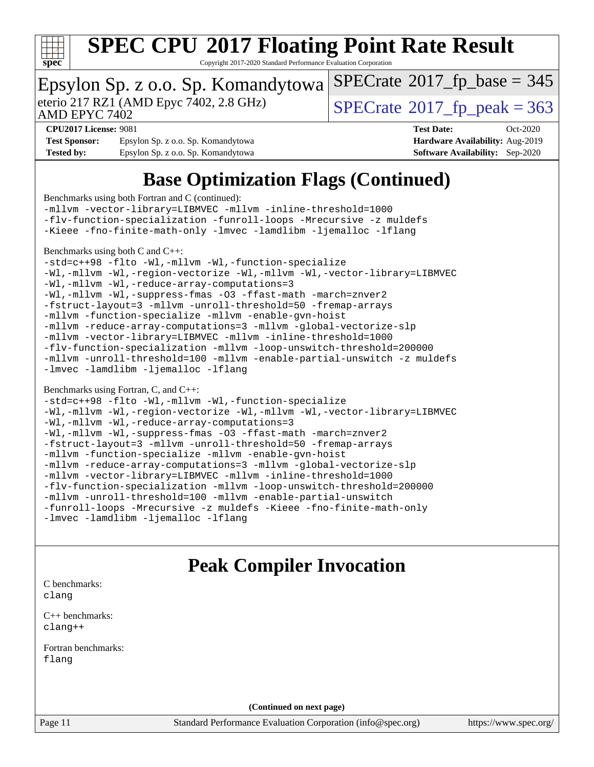

Copyright 2017-2020 Standard Performance Evaluation Corporation

### Epsylon Sp. z o.o. Sp. Komandytowa

AMD EPYC 7402

eterio 217 RZ1 (AMD Epyc 7402, 2.8 GHz)  $\sqrt{\text{SPECrate}^{\otimes}2017\_fp\_peak} = 363$  $\sqrt{\text{SPECrate}^{\otimes}2017\_fp\_peak} = 363$  $\sqrt{\text{SPECrate}^{\otimes}2017\_fp\_peak} = 363$ 

 $SPECTate$ <sup>®</sup>[2017\\_fp\\_base =](http://www.spec.org/auto/cpu2017/Docs/result-fields.html#SPECrate2017fpbase) 345

**[Test Sponsor:](http://www.spec.org/auto/cpu2017/Docs/result-fields.html#TestSponsor)** Epsylon Sp. z o.o. Sp. Komandytowa **[Hardware Availability:](http://www.spec.org/auto/cpu2017/Docs/result-fields.html#HardwareAvailability)** Aug-2019 **[Tested by:](http://www.spec.org/auto/cpu2017/Docs/result-fields.html#Testedby)** Epsylon Sp. z o.o. Sp. Komandytowa **[Software Availability:](http://www.spec.org/auto/cpu2017/Docs/result-fields.html#SoftwareAvailability)** Sep-2020

**[CPU2017 License:](http://www.spec.org/auto/cpu2017/Docs/result-fields.html#CPU2017License)** 9081 **[Test Date:](http://www.spec.org/auto/cpu2017/Docs/result-fields.html#TestDate)** Oct-2020

### **[Base Optimization Flags \(Continued\)](http://www.spec.org/auto/cpu2017/Docs/result-fields.html#BaseOptimizationFlags)**

[Benchmarks using both Fortran and C](http://www.spec.org/auto/cpu2017/Docs/result-fields.html#BenchmarksusingbothFortranandC) (continued): [-mllvm -vector-library=LIBMVEC](http://www.spec.org/cpu2017/results/res2020q4/cpu2017-20201026-24255.flags.html#user_CC_FCbase_F-use-vector-library_e584e20b4f7ec96aa109254b65d8e01d864f3d68580371b9d93ed7c338191d4cfce20c3c864632264effc6bbe4c7c38153d02096a342ee92501c4a53204a7871) [-mllvm -inline-threshold=1000](http://www.spec.org/cpu2017/results/res2020q4/cpu2017-20201026-24255.flags.html#user_CC_FCbase_dragonegg-llvm-inline-threshold_b7832241b0a6397e4ecdbaf0eb7defdc10f885c2a282fa3240fdc99844d543fda39cf8a4a9dccf68cf19b5438ac3b455264f478df15da0f4988afa40d8243bab) [-flv-function-specialization](http://www.spec.org/cpu2017/results/res2020q4/cpu2017-20201026-24255.flags.html#user_CC_FCbase_F-flv-function-specialization) [-funroll-loops](http://www.spec.org/cpu2017/results/res2020q4/cpu2017-20201026-24255.flags.html#user_CC_FCbase_aocc-unroll-loops) [-Mrecursive](http://www.spec.org/cpu2017/results/res2020q4/cpu2017-20201026-24255.flags.html#user_CC_FCbase_F-mrecursive_20a145d63f12d5750a899e17d4450b5b8b40330a9bb4af13688ca650e6fb30857bbbe44fb35cdbb895df6e5b2769de0a0d7659f51ff17acfbef6febafec4023f) [-z muldefs](http://www.spec.org/cpu2017/results/res2020q4/cpu2017-20201026-24255.flags.html#user_CC_FCbase_aocc-muldefs) [-Kieee](http://www.spec.org/cpu2017/results/res2020q4/cpu2017-20201026-24255.flags.html#user_CC_FCbase_F-kieee) [-fno-finite-math-only](http://www.spec.org/cpu2017/results/res2020q4/cpu2017-20201026-24255.flags.html#user_CC_FCbase_aocc-fno-finite-math-only) [-lmvec](http://www.spec.org/cpu2017/results/res2020q4/cpu2017-20201026-24255.flags.html#user_CC_FCbase_F-lmvec) [-lamdlibm](http://www.spec.org/cpu2017/results/res2020q4/cpu2017-20201026-24255.flags.html#user_CC_FCbase_F-lamdlibm) [-ljemalloc](http://www.spec.org/cpu2017/results/res2020q4/cpu2017-20201026-24255.flags.html#user_CC_FCbase_jemalloc-lib) [-lflang](http://www.spec.org/cpu2017/results/res2020q4/cpu2017-20201026-24255.flags.html#user_CC_FCbase_F-lflang) [Benchmarks using both C and C++](http://www.spec.org/auto/cpu2017/Docs/result-fields.html#BenchmarksusingbothCandCXX): [-std=c++98](http://www.spec.org/cpu2017/results/res2020q4/cpu2017-20201026-24255.flags.html#user_CC_CXXbase_std-cpp) [-flto](http://www.spec.org/cpu2017/results/res2020q4/cpu2017-20201026-24255.flags.html#user_CC_CXXbase_aocc-flto) [-Wl,-mllvm -Wl,-function-specialize](http://www.spec.org/cpu2017/results/res2020q4/cpu2017-20201026-24255.flags.html#user_CC_CXXbase_F-function-specialize_7e7e661e57922243ee67c9a1251cb8910e607325179a0ce7f2884e09a6f5d4a5ef0ae4f37e8a2a11c95fc48e931f06dc2b6016f14b511fcb441e048bef1b065a) [-Wl,-mllvm -Wl,-region-vectorize](http://www.spec.org/cpu2017/results/res2020q4/cpu2017-20201026-24255.flags.html#user_CC_CXXbase_F-region-vectorize_fb6c6b5aa293c88efc6c7c2b52b20755e943585b1fe8658c35afef78727fff56e1a56891413c30e36b8e2a6f9a71126986319243e80eb6110b78b288f533c52b) [-Wl,-mllvm -Wl,-vector-library=LIBMVEC](http://www.spec.org/cpu2017/results/res2020q4/cpu2017-20201026-24255.flags.html#user_CC_CXXbase_F-use-vector-library_0a14b27fae317f283640384a31f7bfcc2bd4c1d0b5cfc618a3a430800c9b20217b00f61303eff223a3251b4f06ffbc9739dc5296db9d1fbb9ad24a3939d86d66) [-Wl,-mllvm -Wl,-reduce-array-computations=3](http://www.spec.org/cpu2017/results/res2020q4/cpu2017-20201026-24255.flags.html#user_CC_CXXbase_F-reduce-array-computations_b882aefe7a5dda4e33149f6299762b9a720dace3e498e13756f4c04e5a19edf5315c1f3993de2e61ec41e8c206231f84e05da7040e1bb5d69ba27d10a12507e4) [-Wl,-mllvm -Wl,-suppress-fmas](http://www.spec.org/cpu2017/results/res2020q4/cpu2017-20201026-24255.flags.html#user_CC_CXXbase_F-suppress-fmas_f00f00630e4a059e8af9c161e9bbf420bcf19890a7f99d5933525e66aa4b0bb3ab2339d2b12d97d3a5f5d271e839fe9c109938e91fe06230fb53651590cfa1e8) [-O3](http://www.spec.org/cpu2017/results/res2020q4/cpu2017-20201026-24255.flags.html#user_CC_CXXbase_F-O3) [-ffast-math](http://www.spec.org/cpu2017/results/res2020q4/cpu2017-20201026-24255.flags.html#user_CC_CXXbase_aocc-ffast-math) [-march=znver2](http://www.spec.org/cpu2017/results/res2020q4/cpu2017-20201026-24255.flags.html#user_CC_CXXbase_aocc-march_3e2e19cff2eeef60c5d90b059483627c9ea47eca6d66670dbd53f9185f6439e27eb5e104cf773e9e8ab18c8842ce63e461a3e948d0214bd567ef3ade411bf467) [-fstruct-layout=3](http://www.spec.org/cpu2017/results/res2020q4/cpu2017-20201026-24255.flags.html#user_CC_CXXbase_F-struct-layout) [-mllvm -unroll-threshold=50](http://www.spec.org/cpu2017/results/res2020q4/cpu2017-20201026-24255.flags.html#user_CC_CXXbase_F-unroll-threshold_458874500b2c105d6d5cb4d7a611c40e2b16e9e3d26b355fea72d644c3673b4de4b3932662f0ed3dbec75c491a13da2d2ca81180bd779dc531083ef1e1e549dc) [-fremap-arrays](http://www.spec.org/cpu2017/results/res2020q4/cpu2017-20201026-24255.flags.html#user_CC_CXXbase_F-fremap-arrays) [-mllvm -function-specialize](http://www.spec.org/cpu2017/results/res2020q4/cpu2017-20201026-24255.flags.html#user_CC_CXXbase_F-function-specialize_233b3bdba86027f1b094368157e481c5bc59f40286dc25bfadc1858dcd5745c24fd30d5f188710db7fea399bcc9f44a80b3ce3aacc70a8870250c3ae5e1f35b8) [-mllvm -enable-gvn-hoist](http://www.spec.org/cpu2017/results/res2020q4/cpu2017-20201026-24255.flags.html#user_CC_CXXbase_F-enable-gvn-hoist_e5856354646dd6ca1333a0ad99b817e4cf8932b91b82809fd8fd47ceff7b22a89eba5c98fd3e3fa5200368fd772cec3dd56abc3c8f7b655a71b9f9848dddedd5) [-mllvm -reduce-array-computations=3](http://www.spec.org/cpu2017/results/res2020q4/cpu2017-20201026-24255.flags.html#user_CC_CXXbase_F-reduce-array-computations_aceadb8604558b566e0e3a0d7a3c1533923dd1fa0889614e16288028922629a28d5695c24d3b3be4306b1e311c54317dfffe3a2e57fbcaabc737a1798de39145) [-mllvm -global-vectorize-slp](http://www.spec.org/cpu2017/results/res2020q4/cpu2017-20201026-24255.flags.html#user_CC_CXXbase_F-global-vectorize-slp_a3935e8627af4ced727033b1ffd4db27f4d541a363d28d82bf4c2925fb3a0fd4115d6e42d13a2829f9e024d6608eb67a85cb49770f2da5c5ac8dbc737afad603) [-mllvm -vector-library=LIBMVEC](http://www.spec.org/cpu2017/results/res2020q4/cpu2017-20201026-24255.flags.html#user_CC_CXXbase_F-use-vector-library_e584e20b4f7ec96aa109254b65d8e01d864f3d68580371b9d93ed7c338191d4cfce20c3c864632264effc6bbe4c7c38153d02096a342ee92501c4a53204a7871) [-mllvm -inline-threshold=1000](http://www.spec.org/cpu2017/results/res2020q4/cpu2017-20201026-24255.flags.html#user_CC_CXXbase_dragonegg-llvm-inline-threshold_b7832241b0a6397e4ecdbaf0eb7defdc10f885c2a282fa3240fdc99844d543fda39cf8a4a9dccf68cf19b5438ac3b455264f478df15da0f4988afa40d8243bab) [-flv-function-specialization](http://www.spec.org/cpu2017/results/res2020q4/cpu2017-20201026-24255.flags.html#user_CC_CXXbase_F-flv-function-specialization) [-mllvm -loop-unswitch-threshold=200000](http://www.spec.org/cpu2017/results/res2020q4/cpu2017-20201026-24255.flags.html#user_CC_CXXbase_F-loop-unswitch-threshold_f9a82ae3270e55b5fbf79d0d96ee93606b73edbbe527d20b18b7bff1a3a146ad50cfc7454c5297978340ae9213029016a7d16221274d672d3f7f42ed25274e1d) [-mllvm -unroll-threshold=100](http://www.spec.org/cpu2017/results/res2020q4/cpu2017-20201026-24255.flags.html#user_CC_CXXbase_F-unroll-threshold_2755d0c78138845d361fa1543e3a063fffa198df9b3edf0cfb856bbc88a81e1769b12ac7a550c5d35197be55360db1a3f95a8d1304df999456cabf5120c45168) [-mllvm -enable-partial-unswitch](http://www.spec.org/cpu2017/results/res2020q4/cpu2017-20201026-24255.flags.html#user_CC_CXXbase_F-enable-partial-unswitch_6e1c33f981d77963b1eaf834973128a7f33ce3f8e27f54689656697a35e89dcc875281e0e6283d043e32f367dcb605ba0e307a92e830f7e326789fa6c61b35d3) [-z muldefs](http://www.spec.org/cpu2017/results/res2020q4/cpu2017-20201026-24255.flags.html#user_CC_CXXbase_aocc-muldefs) [-lmvec](http://www.spec.org/cpu2017/results/res2020q4/cpu2017-20201026-24255.flags.html#user_CC_CXXbase_F-lmvec) [-lamdlibm](http://www.spec.org/cpu2017/results/res2020q4/cpu2017-20201026-24255.flags.html#user_CC_CXXbase_F-lamdlibm) [-ljemalloc](http://www.spec.org/cpu2017/results/res2020q4/cpu2017-20201026-24255.flags.html#user_CC_CXXbase_jemalloc-lib) [-lflang](http://www.spec.org/cpu2017/results/res2020q4/cpu2017-20201026-24255.flags.html#user_CC_CXXbase_F-lflang) [Benchmarks using Fortran, C, and C++:](http://www.spec.org/auto/cpu2017/Docs/result-fields.html#BenchmarksusingFortranCandCXX) [-std=c++98](http://www.spec.org/cpu2017/results/res2020q4/cpu2017-20201026-24255.flags.html#user_CC_CXX_FCbase_std-cpp) [-flto](http://www.spec.org/cpu2017/results/res2020q4/cpu2017-20201026-24255.flags.html#user_CC_CXX_FCbase_aocc-flto) [-Wl,-mllvm -Wl,-function-specialize](http://www.spec.org/cpu2017/results/res2020q4/cpu2017-20201026-24255.flags.html#user_CC_CXX_FCbase_F-function-specialize_7e7e661e57922243ee67c9a1251cb8910e607325179a0ce7f2884e09a6f5d4a5ef0ae4f37e8a2a11c95fc48e931f06dc2b6016f14b511fcb441e048bef1b065a) [-Wl,-mllvm -Wl,-region-vectorize](http://www.spec.org/cpu2017/results/res2020q4/cpu2017-20201026-24255.flags.html#user_CC_CXX_FCbase_F-region-vectorize_fb6c6b5aa293c88efc6c7c2b52b20755e943585b1fe8658c35afef78727fff56e1a56891413c30e36b8e2a6f9a71126986319243e80eb6110b78b288f533c52b) [-Wl,-mllvm -Wl,-vector-library=LIBMVEC](http://www.spec.org/cpu2017/results/res2020q4/cpu2017-20201026-24255.flags.html#user_CC_CXX_FCbase_F-use-vector-library_0a14b27fae317f283640384a31f7bfcc2bd4c1d0b5cfc618a3a430800c9b20217b00f61303eff223a3251b4f06ffbc9739dc5296db9d1fbb9ad24a3939d86d66) [-Wl,-mllvm -Wl,-reduce-array-computations=3](http://www.spec.org/cpu2017/results/res2020q4/cpu2017-20201026-24255.flags.html#user_CC_CXX_FCbase_F-reduce-array-computations_b882aefe7a5dda4e33149f6299762b9a720dace3e498e13756f4c04e5a19edf5315c1f3993de2e61ec41e8c206231f84e05da7040e1bb5d69ba27d10a12507e4) [-Wl,-mllvm -Wl,-suppress-fmas](http://www.spec.org/cpu2017/results/res2020q4/cpu2017-20201026-24255.flags.html#user_CC_CXX_FCbase_F-suppress-fmas_f00f00630e4a059e8af9c161e9bbf420bcf19890a7f99d5933525e66aa4b0bb3ab2339d2b12d97d3a5f5d271e839fe9c109938e91fe06230fb53651590cfa1e8) [-O3](http://www.spec.org/cpu2017/results/res2020q4/cpu2017-20201026-24255.flags.html#user_CC_CXX_FCbase_F-O3) [-ffast-math](http://www.spec.org/cpu2017/results/res2020q4/cpu2017-20201026-24255.flags.html#user_CC_CXX_FCbase_aocc-ffast-math) [-march=znver2](http://www.spec.org/cpu2017/results/res2020q4/cpu2017-20201026-24255.flags.html#user_CC_CXX_FCbase_aocc-march_3e2e19cff2eeef60c5d90b059483627c9ea47eca6d66670dbd53f9185f6439e27eb5e104cf773e9e8ab18c8842ce63e461a3e948d0214bd567ef3ade411bf467) [-fstruct-layout=3](http://www.spec.org/cpu2017/results/res2020q4/cpu2017-20201026-24255.flags.html#user_CC_CXX_FCbase_F-struct-layout) [-mllvm -unroll-threshold=50](http://www.spec.org/cpu2017/results/res2020q4/cpu2017-20201026-24255.flags.html#user_CC_CXX_FCbase_F-unroll-threshold_458874500b2c105d6d5cb4d7a611c40e2b16e9e3d26b355fea72d644c3673b4de4b3932662f0ed3dbec75c491a13da2d2ca81180bd779dc531083ef1e1e549dc) [-fremap-arrays](http://www.spec.org/cpu2017/results/res2020q4/cpu2017-20201026-24255.flags.html#user_CC_CXX_FCbase_F-fremap-arrays) [-mllvm -function-specialize](http://www.spec.org/cpu2017/results/res2020q4/cpu2017-20201026-24255.flags.html#user_CC_CXX_FCbase_F-function-specialize_233b3bdba86027f1b094368157e481c5bc59f40286dc25bfadc1858dcd5745c24fd30d5f188710db7fea399bcc9f44a80b3ce3aacc70a8870250c3ae5e1f35b8) [-mllvm -enable-gvn-hoist](http://www.spec.org/cpu2017/results/res2020q4/cpu2017-20201026-24255.flags.html#user_CC_CXX_FCbase_F-enable-gvn-hoist_e5856354646dd6ca1333a0ad99b817e4cf8932b91b82809fd8fd47ceff7b22a89eba5c98fd3e3fa5200368fd772cec3dd56abc3c8f7b655a71b9f9848dddedd5) [-mllvm -reduce-array-computations=3](http://www.spec.org/cpu2017/results/res2020q4/cpu2017-20201026-24255.flags.html#user_CC_CXX_FCbase_F-reduce-array-computations_aceadb8604558b566e0e3a0d7a3c1533923dd1fa0889614e16288028922629a28d5695c24d3b3be4306b1e311c54317dfffe3a2e57fbcaabc737a1798de39145) [-mllvm -global-vectorize-slp](http://www.spec.org/cpu2017/results/res2020q4/cpu2017-20201026-24255.flags.html#user_CC_CXX_FCbase_F-global-vectorize-slp_a3935e8627af4ced727033b1ffd4db27f4d541a363d28d82bf4c2925fb3a0fd4115d6e42d13a2829f9e024d6608eb67a85cb49770f2da5c5ac8dbc737afad603) [-mllvm -vector-library=LIBMVEC](http://www.spec.org/cpu2017/results/res2020q4/cpu2017-20201026-24255.flags.html#user_CC_CXX_FCbase_F-use-vector-library_e584e20b4f7ec96aa109254b65d8e01d864f3d68580371b9d93ed7c338191d4cfce20c3c864632264effc6bbe4c7c38153d02096a342ee92501c4a53204a7871) [-mllvm -inline-threshold=1000](http://www.spec.org/cpu2017/results/res2020q4/cpu2017-20201026-24255.flags.html#user_CC_CXX_FCbase_dragonegg-llvm-inline-threshold_b7832241b0a6397e4ecdbaf0eb7defdc10f885c2a282fa3240fdc99844d543fda39cf8a4a9dccf68cf19b5438ac3b455264f478df15da0f4988afa40d8243bab) [-flv-function-specialization](http://www.spec.org/cpu2017/results/res2020q4/cpu2017-20201026-24255.flags.html#user_CC_CXX_FCbase_F-flv-function-specialization) [-mllvm -loop-unswitch-threshold=200000](http://www.spec.org/cpu2017/results/res2020q4/cpu2017-20201026-24255.flags.html#user_CC_CXX_FCbase_F-loop-unswitch-threshold_f9a82ae3270e55b5fbf79d0d96ee93606b73edbbe527d20b18b7bff1a3a146ad50cfc7454c5297978340ae9213029016a7d16221274d672d3f7f42ed25274e1d) [-mllvm -unroll-threshold=100](http://www.spec.org/cpu2017/results/res2020q4/cpu2017-20201026-24255.flags.html#user_CC_CXX_FCbase_F-unroll-threshold_2755d0c78138845d361fa1543e3a063fffa198df9b3edf0cfb856bbc88a81e1769b12ac7a550c5d35197be55360db1a3f95a8d1304df999456cabf5120c45168) [-mllvm -enable-partial-unswitch](http://www.spec.org/cpu2017/results/res2020q4/cpu2017-20201026-24255.flags.html#user_CC_CXX_FCbase_F-enable-partial-unswitch_6e1c33f981d77963b1eaf834973128a7f33ce3f8e27f54689656697a35e89dcc875281e0e6283d043e32f367dcb605ba0e307a92e830f7e326789fa6c61b35d3)

[-funroll-loops](http://www.spec.org/cpu2017/results/res2020q4/cpu2017-20201026-24255.flags.html#user_CC_CXX_FCbase_aocc-unroll-loops) [-Mrecursive](http://www.spec.org/cpu2017/results/res2020q4/cpu2017-20201026-24255.flags.html#user_CC_CXX_FCbase_F-mrecursive_20a145d63f12d5750a899e17d4450b5b8b40330a9bb4af13688ca650e6fb30857bbbe44fb35cdbb895df6e5b2769de0a0d7659f51ff17acfbef6febafec4023f) [-z muldefs](http://www.spec.org/cpu2017/results/res2020q4/cpu2017-20201026-24255.flags.html#user_CC_CXX_FCbase_aocc-muldefs) [-Kieee](http://www.spec.org/cpu2017/results/res2020q4/cpu2017-20201026-24255.flags.html#user_CC_CXX_FCbase_F-kieee) [-fno-finite-math-only](http://www.spec.org/cpu2017/results/res2020q4/cpu2017-20201026-24255.flags.html#user_CC_CXX_FCbase_aocc-fno-finite-math-only) [-lmvec](http://www.spec.org/cpu2017/results/res2020q4/cpu2017-20201026-24255.flags.html#user_CC_CXX_FCbase_F-lmvec) [-lamdlibm](http://www.spec.org/cpu2017/results/res2020q4/cpu2017-20201026-24255.flags.html#user_CC_CXX_FCbase_F-lamdlibm) [-ljemalloc](http://www.spec.org/cpu2017/results/res2020q4/cpu2017-20201026-24255.flags.html#user_CC_CXX_FCbase_jemalloc-lib) [-lflang](http://www.spec.org/cpu2017/results/res2020q4/cpu2017-20201026-24255.flags.html#user_CC_CXX_FCbase_F-lflang)

### **[Peak Compiler Invocation](http://www.spec.org/auto/cpu2017/Docs/result-fields.html#PeakCompilerInvocation)**

[C benchmarks](http://www.spec.org/auto/cpu2017/Docs/result-fields.html#Cbenchmarks): [clang](http://www.spec.org/cpu2017/results/res2020q4/cpu2017-20201026-24255.flags.html#user_CCpeak_clang-c)

[C++ benchmarks:](http://www.spec.org/auto/cpu2017/Docs/result-fields.html#CXXbenchmarks) [clang++](http://www.spec.org/cpu2017/results/res2020q4/cpu2017-20201026-24255.flags.html#user_CXXpeak_clang-cpp)

[Fortran benchmarks](http://www.spec.org/auto/cpu2017/Docs/result-fields.html#Fortranbenchmarks): [flang](http://www.spec.org/cpu2017/results/res2020q4/cpu2017-20201026-24255.flags.html#user_FCpeak_flang)

**(Continued on next page)**

Page 11 Standard Performance Evaluation Corporation [\(info@spec.org\)](mailto:info@spec.org) <https://www.spec.org/>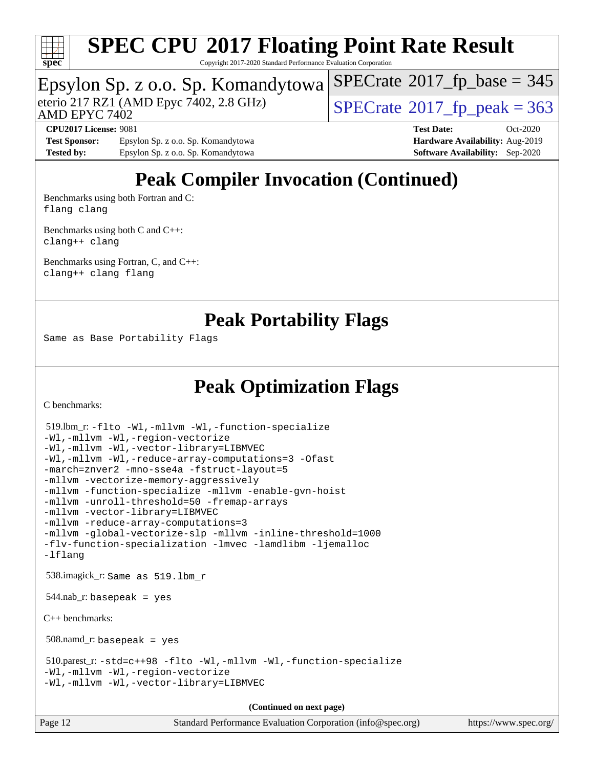

Copyright 2017-2020 Standard Performance Evaluation Corporation

### Epsylon Sp. z o.o. Sp. Komandytowa

AMD EPYC 7402

eterio 217 RZ1 (AMD Epyc 7402, 2.8 GHz)  $\sqrt{\text{SPECrate}^{\otimes}2017\_fp\_peak} = 363$  $\sqrt{\text{SPECrate}^{\otimes}2017\_fp\_peak} = 363$  $\sqrt{\text{SPECrate}^{\otimes}2017\_fp\_peak} = 363$ 

 $SPECTate$ <sup>®</sup>[2017\\_fp\\_base =](http://www.spec.org/auto/cpu2017/Docs/result-fields.html#SPECrate2017fpbase) 345

**[Test Sponsor:](http://www.spec.org/auto/cpu2017/Docs/result-fields.html#TestSponsor)** Epsylon Sp. z o.o. Sp. Komandytowa **[Hardware Availability:](http://www.spec.org/auto/cpu2017/Docs/result-fields.html#HardwareAvailability)** Aug-2019 **[Tested by:](http://www.spec.org/auto/cpu2017/Docs/result-fields.html#Testedby)** Epsylon Sp. z o.o. Sp. Komandytowa **[Software Availability:](http://www.spec.org/auto/cpu2017/Docs/result-fields.html#SoftwareAvailability)** Sep-2020

**[CPU2017 License:](http://www.spec.org/auto/cpu2017/Docs/result-fields.html#CPU2017License)** 9081 **[Test Date:](http://www.spec.org/auto/cpu2017/Docs/result-fields.html#TestDate)** Oct-2020

## **[Peak Compiler Invocation \(Continued\)](http://www.spec.org/auto/cpu2017/Docs/result-fields.html#PeakCompilerInvocation)**

[Benchmarks using both Fortran and C](http://www.spec.org/auto/cpu2017/Docs/result-fields.html#BenchmarksusingbothFortranandC): [flang](http://www.spec.org/cpu2017/results/res2020q4/cpu2017-20201026-24255.flags.html#user_CC_FCpeak_flang) [clang](http://www.spec.org/cpu2017/results/res2020q4/cpu2017-20201026-24255.flags.html#user_CC_FCpeak_clang-c)

[Benchmarks using both C and C++](http://www.spec.org/auto/cpu2017/Docs/result-fields.html#BenchmarksusingbothCandCXX): [clang++](http://www.spec.org/cpu2017/results/res2020q4/cpu2017-20201026-24255.flags.html#user_CC_CXXpeak_clang-cpp) [clang](http://www.spec.org/cpu2017/results/res2020q4/cpu2017-20201026-24255.flags.html#user_CC_CXXpeak_clang-c)

[Benchmarks using Fortran, C, and C++:](http://www.spec.org/auto/cpu2017/Docs/result-fields.html#BenchmarksusingFortranCandCXX) [clang++](http://www.spec.org/cpu2017/results/res2020q4/cpu2017-20201026-24255.flags.html#user_CC_CXX_FCpeak_clang-cpp) [clang](http://www.spec.org/cpu2017/results/res2020q4/cpu2017-20201026-24255.flags.html#user_CC_CXX_FCpeak_clang-c) [flang](http://www.spec.org/cpu2017/results/res2020q4/cpu2017-20201026-24255.flags.html#user_CC_CXX_FCpeak_flang)

### **[Peak Portability Flags](http://www.spec.org/auto/cpu2017/Docs/result-fields.html#PeakPortabilityFlags)**

Same as Base Portability Flags

### **[Peak Optimization Flags](http://www.spec.org/auto/cpu2017/Docs/result-fields.html#PeakOptimizationFlags)**

[C benchmarks](http://www.spec.org/auto/cpu2017/Docs/result-fields.html#Cbenchmarks):

```
 519.lbm_r: -flto -Wl,-mllvm -Wl,-function-specialize
-Wl,-mllvm -Wl,-region-vectorize
-Wl,-mllvm -Wl,-vector-library=LIBMVEC
-Wl,-mllvm -Wl,-reduce-array-computations=3 -Ofast
-march=znver2 -mno-sse4a -fstruct-layout=5
-mllvm -vectorize-memory-aggressively
-mllvm -function-specialize -mllvm -enable-gvn-hoist
-mllvm -unroll-threshold=50 -fremap-arrays
-mllvm -vector-library=LIBMVEC
-mllvm -reduce-array-computations=3
-mllvm -global-vectorize-slp -mllvm -inline-threshold=1000
-flv-function-specialization -lmvec -lamdlibm -ljemalloc
-lflang
 538.imagick_r: Same as 519.lbm_r
 544.nab_r: basepeak = yes
C++ benchmarks: 
 508.namd_r: basepeak = yes
 510.parest_r: -std=c++98 -flto -Wl,-mllvm -Wl,-function-specialize
-Wl,-mllvm -Wl,-region-vectorize
-Wl,-mllvm -Wl,-vector-library=LIBMVEC
                                     (Continued on next page)
```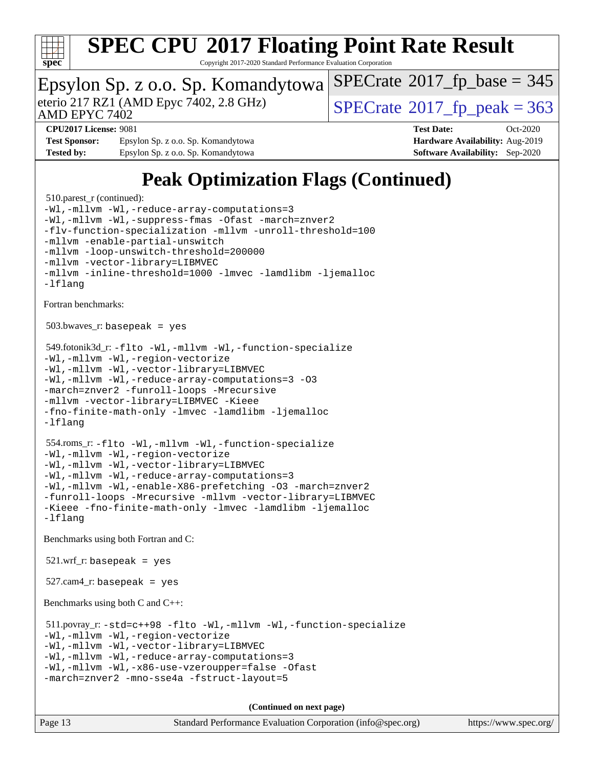

Copyright 2017-2020 Standard Performance Evaluation Corporation

### Epsylon Sp. z o.o. Sp. Komandytowa

AMD EPYC 7402

eterio 217 RZ1 (AMD Epyc 7402, 2.8 GHz)  $\text{SPECrate}$  $\text{SPECrate}$  $\text{SPECrate}$ <sup>®</sup>[2017\\_fp\\_peak = 3](http://www.spec.org/auto/cpu2017/Docs/result-fields.html#SPECrate2017fppeak)63

 $SPECTate$ <sup>®</sup>[2017\\_fp\\_base =](http://www.spec.org/auto/cpu2017/Docs/result-fields.html#SPECrate2017fpbase) 345

**[Test Sponsor:](http://www.spec.org/auto/cpu2017/Docs/result-fields.html#TestSponsor)** Epsylon Sp. z o.o. Sp. Komandytowa **[Hardware Availability:](http://www.spec.org/auto/cpu2017/Docs/result-fields.html#HardwareAvailability)** Aug-2019 **[Tested by:](http://www.spec.org/auto/cpu2017/Docs/result-fields.html#Testedby)** Epsylon Sp. z o.o. Sp. Komandytowa **[Software Availability:](http://www.spec.org/auto/cpu2017/Docs/result-fields.html#SoftwareAvailability)** Sep-2020

**[CPU2017 License:](http://www.spec.org/auto/cpu2017/Docs/result-fields.html#CPU2017License)** 9081 **[Test Date:](http://www.spec.org/auto/cpu2017/Docs/result-fields.html#TestDate)** Oct-2020

## **[Peak Optimization Flags \(Continued\)](http://www.spec.org/auto/cpu2017/Docs/result-fields.html#PeakOptimizationFlags)**

```
510.parest r (continued):
-Wl,-mllvm -Wl,-reduce-array-computations=3
-Wl,-mllvm -Wl,-suppress-fmas-Ofast-march=znver2
-flv-function-specialization -mllvm -unroll-threshold=100
-mllvm -enable-partial-unswitch
-mllvm -loop-unswitch-threshold=200000
-mllvm -vector-library=LIBMVEC
-mllvm -inline-threshold=1000 -lmvec -lamdlibm -ljemalloc
-lflang
Fortran benchmarks: 
 503.bwaves_r: basepeak = yes
 549.fotonik3d_r: -flto -Wl,-mllvm -Wl,-function-specialize
-Wl,-mllvm -Wl,-region-vectorize
-Wl,-mllvm -Wl,-vector-library=LIBMVEC
-Wl,-mllvm -Wl,-reduce-array-computations=3 -O3
-march=znver2 -funroll-loops -Mrecursive
-mllvm -vector-library=LIBMVEC -Kieee
-fno-finite-math-only -lmvec -lamdlibm -ljemalloc
-lflang
 554.roms_r: -flto -Wl,-mllvm -Wl,-function-specialize
-Wl,-mllvm -Wl,-region-vectorize
-Wl,-mllvm -Wl,-vector-library=LIBMVEC
-Wl,-mllvm -Wl,-reduce-array-computations=3
-Wl,-mllvm -Wl,-enable-X86-prefetching -O3 -march=znver2
-funroll-loops -Mrecursive -mllvm -vector-library=LIBMVEC
-Kieee -fno-finite-math-only -lmvec -lamdlibm -ljemalloc
-lflang
Benchmarks using both Fortran and C: 
 521.wrf_r: basepeak = yes
527.cam4_r: basepeak = yes
Benchmarks using both C and C++: 
 511.povray_r: -std=c++98 -flto -Wl,-mllvm -Wl,-function-specialize
-Wl,-mllvm -Wl,-region-vectorize
-Wl,-mllvm -Wl,-vector-library=LIBMVEC
-Wl,-mllvm -Wl,-reduce-array-computations=3
-Wl,-mllvm -Wl,-x86-use-vzeroupper=false -Ofast
-march=znver2 -mno-sse4a -fstruct-layout=5
                                     (Continued on next page)
```